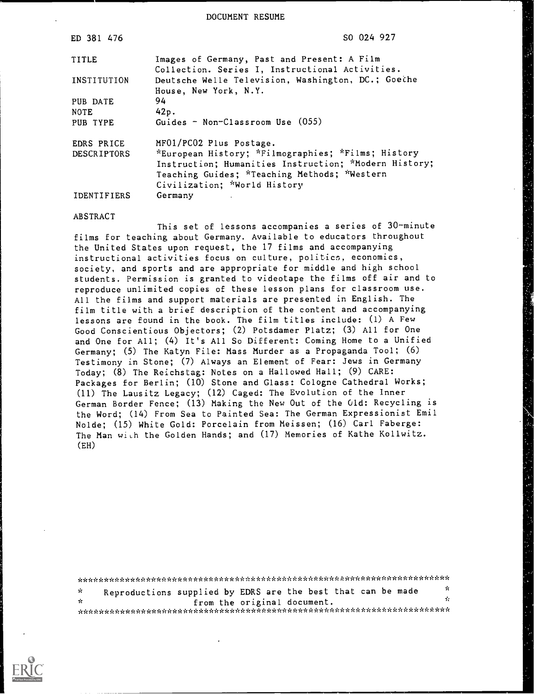DOCUMENT RESUME

| ED 381 476         | SO 024 927                                                                                     |
|--------------------|------------------------------------------------------------------------------------------------|
| TITLE              | Images of Germany, Past and Present: A Film<br>Collection. Series I, Instructional Activities. |
| INSTITUTION        | Deutsche Welle Television, Washington, DC.; Goethe<br>House, New York, N.Y.                    |
| PUB DATE           | 94                                                                                             |
| <b>NOTE</b>        | 42p.                                                                                           |
| PUB TYPE           | Guides - Non-Classroom Use $(055)$                                                             |
| EDRS PRICE         | MF01/PC02 Plus Postage.                                                                        |
| <b>DESCRIPTORS</b> | *European History; *Filmographies; *Films; History                                             |
|                    | Instruction; Humanities Instruction; *Modern History;                                          |
|                    | Teaching Guides; *Teaching Methods; *Western                                                   |
|                    | Civilization; *World History                                                                   |
| IDENTIFIERS        | Germany                                                                                        |

#### ABSTRACT

This set of lessons accompanies a series of 30-minute films for teaching about Germany. Available to educators throughout the United States upon request, the 17 films and accompanying instructional activities focus on culture, politics, economics, society, and sports and are appropriate for middle and high school students. Permission is granted to videotape the films off air and to reproduce unlimited copies of these lesson plans for classroom use. All the films and support materials are presented in English. The film title with a brief description of the content and accompanying lessons are found in the book. The film titles include: (1) A Few Good Conscientious Objectors; (2) Potsdamer Platz; (3) All for One and One for All; (4) It's All So Different: Coming Home to a Unified Germany; (5) The Katyn File: Mass Murder as a Propaganda Tool; (6) Testimony in Stone; (7) Always an Element of Fear: Jews in Germany Today; (8) The Reichstag: Notes on a Hallowed Hall; (9) CARE: Packages for Berlin; (10) Stone and Glass: Cologne Cathedral Works; (11) The Lausitz Legacy; (12) Caged: The Evolution of the Inner German Border Fence; (13) Making the New Out of the Old: Recycling is the Word; (14) From Sea to Painted Sea: The German Expressionist Emil Nolde; (15) White Gold: Porcelain from Meissen; (16) Carl Faberge: The Man with the Golden Hands; and (17) Memories of Kathe Kollwitz. (EH)

\*\*\*\*\*\*\*\*\*\*\*\*\*\*\*\*\*\*\*\*\*\*\*\*\*\*\*\*\*\*\*\*\*\*\*\*\*\*\*\*\*\*\*\*\*\*\*\*\*\*k\*\*\*\*\*\*\*\*\*\*\*\*\*\*\*\*\*\*\*\*  $\mathbf{r}$ 

Reproductions supplied by EDRS are the best that can be made  $\frac{x}{x}$  $\mathbf{r}$ from the original document. \*\*\*\*\*\*\*\*\*\*\*\*\*\*\*\*\*\*\*\*\*\*\*\*\*\*\*\*\*\*\*\*\*\*\*\*\*\*\*\*\*\*\*\*\*\*\*\*\*\*\*\*\*\*\*\*\*\*\*\*\*\*\*\*\*\*\*\*\*\*\*

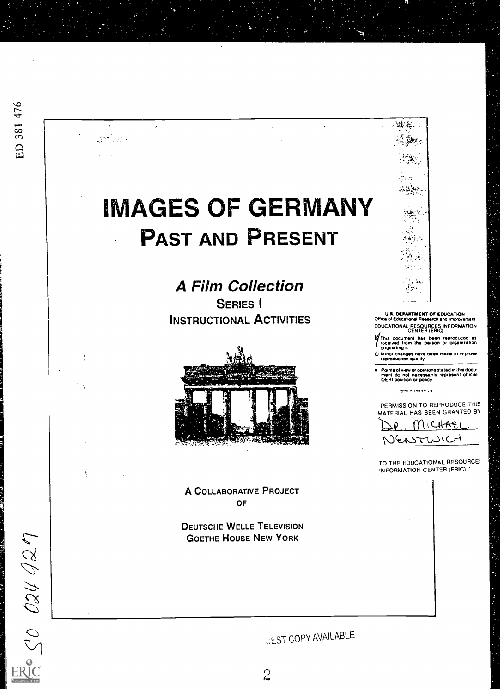.<br>. . .

 $\ddot{\phantom{1}}$ 

 $\mathcal{N}^{\text{max}}$  and  $\mathcal{N}^{\text{max}}$ 

 $\ddot{\phantom{a}}$ 

÷,

 $\frac{1}{2}$   $\frac{1}{2}$   $\frac{1}{2}$   $\frac{1}{2}$   $\frac{1}{2}$   $\frac{1}{2}$   $\frac{1}{2}$ 

A Film Collection SERIES I INSTRUCTIONAL ACTIVITIES



A COLLABORATIVE PROJECT OF

DEUTSCHE WELLE TELEVISION GOETHE HOUSE NEW YORK



U.S. DEARTMENT Of EDUCATION Office of Educational Research and Improvement EDUCATIONAL RESOURCES INFORMATION CENTER (ERIC)

This document has been reproduced as<br>(riceived from the person or organization)  $\frac{1}{2}$ <br>(originating it)

Minor changes have been made to improve the string of the string of the string of the string of the string of the string of the string of the string of the string of the string of the string of the string of the string of

Points of wire Or opinions slated in this docu-ment do not necessarily represent official OE RI position or pokey

.<br>אי אדמיני: מספר

"PERMISSION TO REPRODUCE THIS MATERIAL HAS BEEN GRANTED BY

MICHAEI NEASTWICH

INFORMATION CENTER (ERIC)" TO THE EDUCATIONAL RESOURCE;

*JEST COPY AVAILABLE*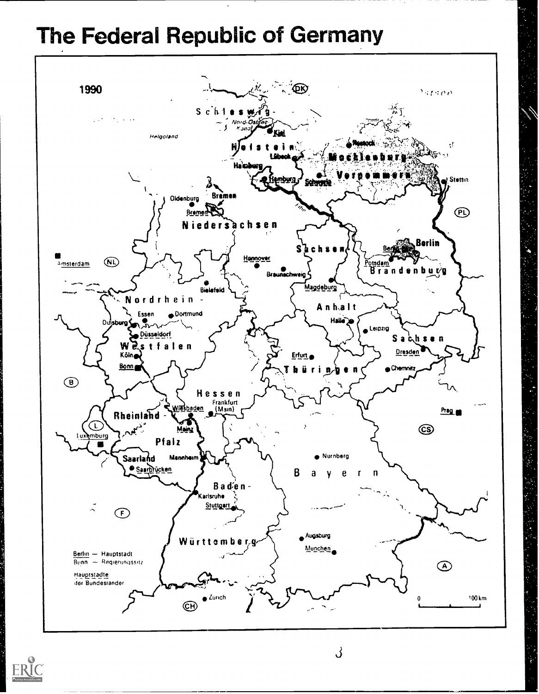# The Federal Republic of Germany



![](_page_2_Picture_2.jpeg)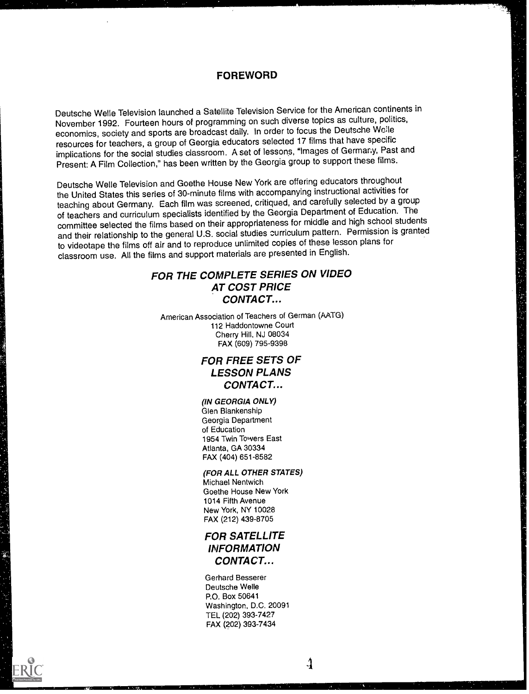#### FOREWORD

Deutsche Welle Television launched a Satellite Television Service for the American continents in November 1992. Fourteen hours of programming on such diverse topics as culture, politics, economics, society and sports are broadcast daily. In order to focus the Deutsche We:le resources for teachers, a group of Georgia educators selected 17 films that have specific implications for the social studies classroom. A set of lessons, "Images of Germany, Past and Present: A Film Collection," has been written by the Georgia group to support these films.

Deutsche Welle Television and Goethe House New York are offering educators throughout the United States this series of 30-minute films with accompanying instructional activities for teaching about Germany. Each film was screened, critiqued, and carefully selected by a group of teachers and curriculum specialists identified by the Georgia Department of Education. The committee selected the films based on their appropriateness for middle and high school students and their relationship to the general U.S. social studies curriculum pattern. Permission is granted to videotape the films off air and to reproduce unlimited copies of these lesson plans for classroom use. All the films and support materials are presented in English.

### FOR THE COMPLETE SERIES ON VIDEO AT COST PRICE CONTACT...

American Association of Teachers of German (AATG) 112 Haddontowne Court Cherry Hill, NJ 08034 FAX (609) 795-9398

### FOR FREE SETS OF LESSON PLANS CONTACT...

(IN GEORGIA ONLY) Glen Blankenship Georgia Department of Education 1954 Twin Towers East Atlanta, GA 30334 FAX (404) 651-8582

#### (FOR ALL OTHER STATES) Michael Nentwich Goethe House New York 1014 Fifth Avenue

New York, NY 10028 FAX (212) 439-8705

### FOR SATELLITE INFORMATION CONTACT...

Gerhard Besserer Deutsche Welle P.O. Box 50641 Washington, D.C. 20091 TEL (202) 393-7427 FAX (202) 393-7434

![](_page_3_Picture_11.jpeg)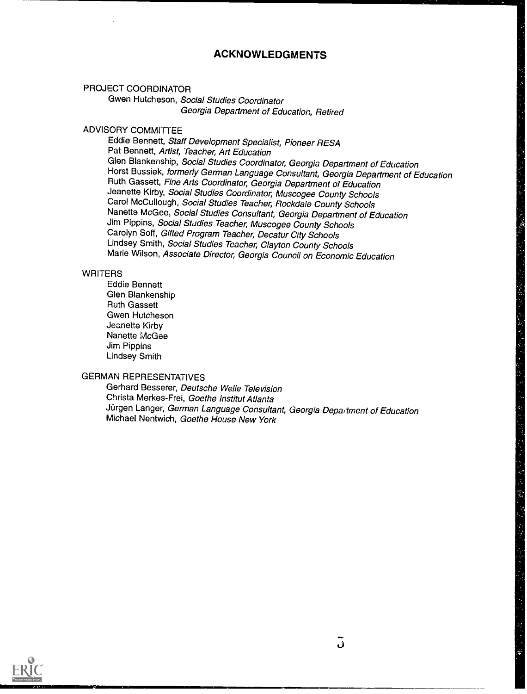### ACKNOWLEDGMENTS

PROJECT COORDINATOR

Gwen Hutcheson, Social Studies Coordinator Georgia Department of Education, Retired

### ADVISORY COMMITTEE

Eddie Bennett, Staff Development Specialist, Pioneer RESA Pat Bennett, Artist, Teacher, Art Education Glen Blankenship, Social Studies Coordinator, Georgia Department of Education<br>Horst Bussiek, formerly German Language Consultant, Georgia Department of Education Ruth Gassett, Fine Arts Coordinator, Georgia Department of Education Jeanette Kirby, Social Studies Coordinator, Muscogee County Schools Carol McCullough, Social Studies Teacher, Rockdale County Schools Nanette McGee, Social Studies Consultant, Georgia Department of Education Jim Pippins, Social Studies Teacher, Muscogee County Schools Carolyn Soff, Gifted Program Teacher, Decatur City Schools Lindsey Smith, Social Studies Teacher, Clayton County Schools Marie Wilson, Associate Director, Georgia Council on Economic Education

#### **WRITERS**

Eddie Bennett Glen Blankenship Ruth Gassett Gwen Hutcheson Jeanette Kirby Nanette McGee Jim Pippins Lindsey Smith

### GERMAN REPRESENTATIVES

Gerhard Besserer, Deutsche Welle Television Christa Merkes-Frei, Goethe Institut Atlanta Jürgen Langer, German Language Consultant, Georgia Department of Education Michael Nentwich, Goethe House New York

![](_page_4_Picture_9.jpeg)

医生产的 医结核性的 医血管

网络阿尔特 经股票保险

计信号 医精神病 医血管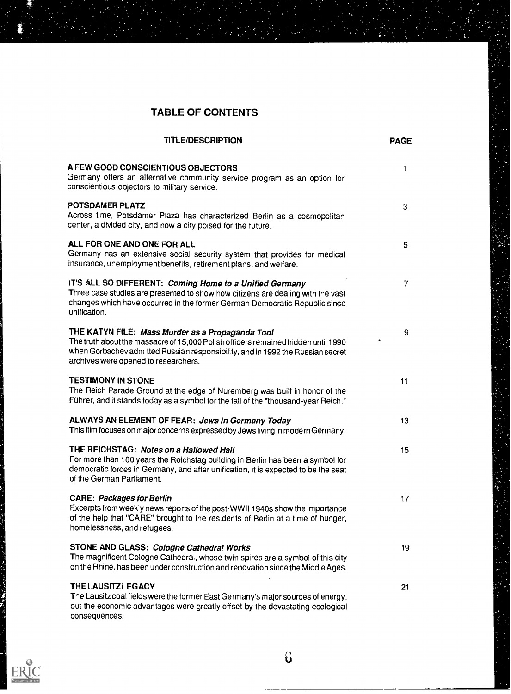### TABLE OF CONTENTS

| <b>TITLE/DESCRIPTION</b>                                                                                                                                                                                                                                        | <b>PAGE</b>    |  |
|-----------------------------------------------------------------------------------------------------------------------------------------------------------------------------------------------------------------------------------------------------------------|----------------|--|
| A FEW GOOD CONSCIENTIOUS OBJECTORS<br>Germany offers an alternative community service program as an option for<br>conscientious objectors to military service.                                                                                                  | 1              |  |
| POTSDAMER PLATZ<br>Across time, Potsdamer Plaza has characterized Berlin as a cosmopolitan<br>center, a divided city, and now a city poised for the future.                                                                                                     | 3              |  |
| ALL FOR ONE AND ONE FOR ALL<br>Germany nas an extensive social security system that provides for medical<br>insurance, unemployment benefits, retirement plans, and welfare.                                                                                    | 5              |  |
| IT'S ALL SO DIFFERENT: Coming Home to a Unified Germany<br>Three case studies are presented to show how citizens are dealing with the vast<br>changes which have occurred in the former German Democratic Republic since<br>unification.                        | 7              |  |
| THE KATYN FILE: Mass Murder as a Propaganda Tool<br>The truth about the massacre of 15,000 Polish officers remained hidden until 1990<br>when Gorbachev admitted Russian responsibility, and in 1992 the Russian secret<br>archives were opened to researchers. | 9<br>$\bullet$ |  |
| <b>TESTIMONY IN STONE</b><br>The Reich Parade Ground at the edge of Nuremberg was built in honor of the<br>Führer, and it stands today as a symbol for the fall of the "thousand-year Reich."                                                                   | 11             |  |
| ALWAYS AN ELEMENT OF FEAR: Jews in Germany Today<br>This film focuses on major concerns expressed by Jews living in modern Germany.                                                                                                                             | 13             |  |
| THE REICHSTAG: Notes on a Hallowed Hall<br>For more than 100 years the Reichstag building in Berlin has been a symbol for<br>democratic forces in Germany, and after unification, it is expected to be the seat<br>of the German Parliament.                    | 15             |  |
| <b>CARE: Packages for Berlin</b><br>Excerpts from weekly news reports of the post-WWII 1940s show the importance<br>of the help that "CARE" brought to the residents of Berlin at a time of hunger,<br>homelessness, and refugees.                              | 17             |  |
| STONE AND GLASS: Cologne Cathedral Works<br>The magnificent Cologne Cathedral, whose twin spires are a symbol of this city<br>on the Rhine, has been under construction and renovation since the Middle Ages.                                                   | 19             |  |
| <b>THE LAUSITZ LEGACY</b><br>The Lausitz coal fields were the former East Germany's major sources of energy,                                                                                                                                                    | 21             |  |

- but the economic advantages were greatly offset by the devastating ecological consequences.
- ER

÷)<br>∪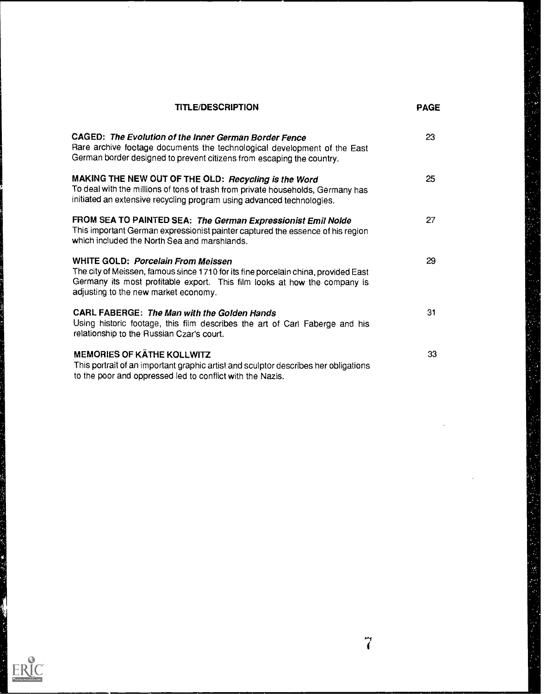| <b>TITLE/DESCRIPTION</b>                                                                                                                                                                                                                      | <b>PAGE</b> |
|-----------------------------------------------------------------------------------------------------------------------------------------------------------------------------------------------------------------------------------------------|-------------|
| CAGED: The Evolution of the Inner German Border Fence<br>Rare archive footage documents the technological development of the East<br>German border designed to prevent citizens from escaping the country.                                    | 23          |
| MAKING THE NEW OUT OF THE OLD: Recycling is the Word<br>To deal with the millions of tons of trash from private households, Germany has<br>initiated an extensive recycling program using advanced technologies.                              | 25          |
| FROM SEA TO PAINTED SEA: The German Expressionist Emil Nolde<br>This important German expressionist painter captured the essence of his region<br>which included the North Sea and marshlands.                                                | 27          |
| WHITE GOLD: Porcelain From Meissen<br>The city of Meissen, famous since 1710 for its fine porcelain china, provided East<br>Germany its most profitable export. This film looks at how the company is<br>adjusting to the new market economy. | 29          |
| CARL FABERGE: The Man with the Golden Hands<br>Using historic footage, this film describes the art of Carl Faberge and his<br>relationship to the Russian Czar's court.                                                                       | 31          |
| <b>MEMORIES OF KÄTHE KOLLWITZ</b><br>This portrait of an important graphic artist and sculptor describes her obligations                                                                                                                      | 33          |

to the poor and oppressed led to conflict with the Nazis.

 $\hat{\mathcal{A}}$ 

ų

t.<br>D

Å

 $\mathbf{a}$ 

的过去式

医不可能的 医心包的 医心包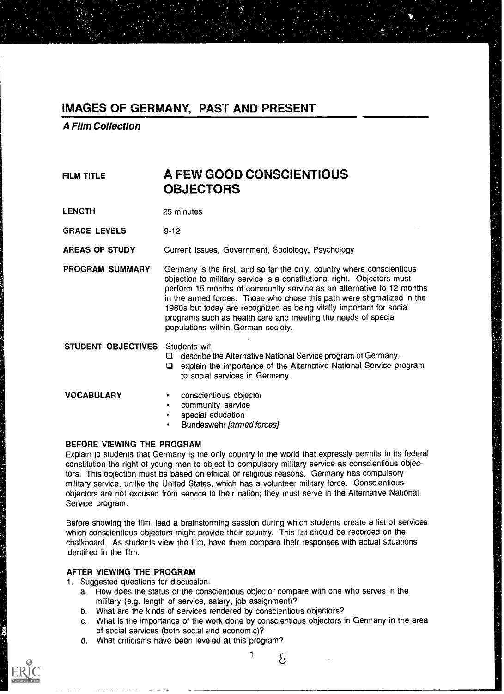A Film Collection

## FILM TITLE **A FEW GOOD CONSCIENTIOUS OBJECTORS**

LENGTH 25 minutes

GRADE LEVELS 9-12

AREAS OF STUDY Current Issues, Government, Sociology, Psychology

PROGRAM SUMMARY Germany is the first, and so far the only, country where conscientious objection to military service is a constitutional right. Objectors must perform 15 months of community service as an alternative to 12 months in the armed forces. Those who chose this path were stigmatized in the 1960s but today are recognized as being vitally important for social programs such as health care and meeting the needs of special populations within German society.

STUDENT OBJECTIVES Students will

describe the Alternative National Service program of Germany.

explain the importance of the Alternative National Service program to social services in Germany.

- VOCABULARY conscientious objector
	- community service
	- special education
	- Bundeswehr (armed forces]

#### BEFORE VIEWING THE PROGRAM

Explain to students that Germany is the only country in the world that expressly permits in its federal constitution the right of young men to object to compulsory military service as conscientious objectors. This objection must be based on ethical or religious reasons. Germany has compulsory military service, unlike the United States, which has a volunteer military force. Conscientious objectors are not excused from service to their nation; they must serve in the Alternative National Service program.

Before showing the film, lead a brainstorming session during which students create a list of services which conscientious objectors might provide their country. This list should be recorded on the chalkboard. As students view the film, have them compare their responses with actual situations identified in the film.

#### AFTER VIEWING THE PROGRAM

- 1. Suggested questions for discussion.
	- a. How does the status of the conscientious objector compare with one who serves in the military (e.g. length of service, salary, job assignment)?
	- b. What are the kinds of services rendered by conscientious objectors?
	- c. What is the importance of the work done by conscientious objectors in Germany in the area of social services (both social end economic)?
	- d. What criticisms have been leveled at this program?

 $1 \qquad \Omega$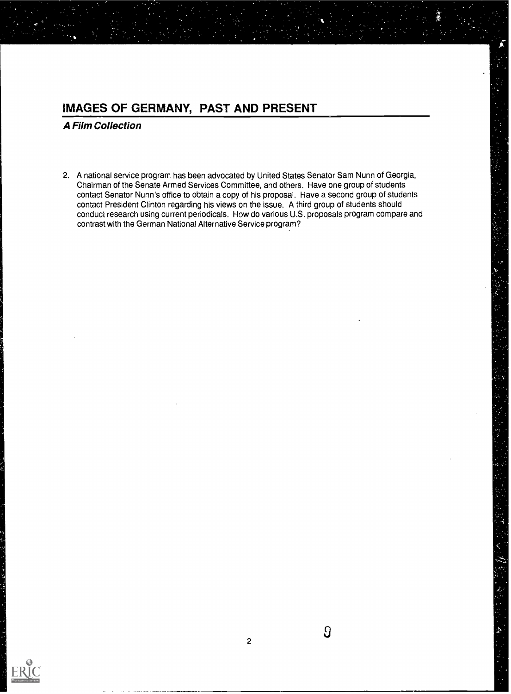A Film Collection

2. A national service program has been advocated by United States Senator Sam Nunn of Georgia, Chairman of the Senate Armed Services Committee, and others. Have one group of students contact Senator Nunn's office to obtain a copy of his proposal. Have a second group of students contact President Clinton regarding his views on the issue. A third group of students should conduct research using current periodicals. How do various U.S. proposals program compare and contrast with the German National Alternative Service program?

![](_page_8_Picture_3.jpeg)

 $\overline{a}$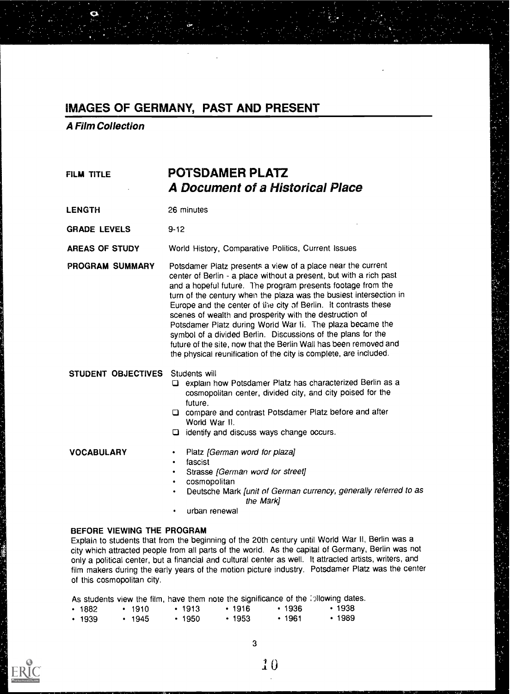A Film Collection

### FILM TITLE POTSDAMER PLATZ A Document of a Historical Place

LENGTH 26 minutes

GRADE LEVELS 9-12

AREAS OF STUDY World History, Comparative Politics, Current Issues

PROGRAM SUMMARY Potsdamer Platz presents a view of a place near the current center of Berlin - a place without a present, but with a rich past and a hopeful future. The program presents footage from the turn of the century when the plaza was the busiest intersection in Europe and the center of the city of Berlin. It contrasts these scenes of wealth and prosperity with the destruction of Potsdamer Platz during World War Ii. The plaza became the symbol of a divided Berlin. Discussions of the plans for the future of the site, now that the Berlin Wall has been removed and the physical reunification of the city is complete, are included.

STUDENT OBJECTIVES Students will

- explain how Potsdamer Platz has characterized Berlin as a cosmopolitan center, divided city, and city poised for the future.
- compare and contrast Potsdamer Platz before and after World War II.
- identify and discuss ways change occurs.

- VOCABULARY Platz (German word for plaza]
	- fascist
	- Strasse [German word for street]  $\bullet$
	- cosmopolitan
	- Deutsche Mark [unit of German currency, generally referred to as the Mark]
	- urban renewal

#### BEFORE VIEWING THE PROGRAM

Explain to students that from the beginning of the 20th century until World War II, Berlin was a city which attracted people from all parts of the world. As the capital of Germany, Berlin was not only a political center, but a financial and cultural center as well. It attracted artists, writers, and film makers during the early years of the motion picture industry. Potsdamer Platz was the center of this cosmopolitan city.

As students view the film, have them note the significance of the ipllowing dates.

| $\cdot$ 1882 | $\cdot$ 1910 | $\cdot$ 1913 | $+1916$      | $+1936$ | $\cdot$ 1938 |
|--------------|--------------|--------------|--------------|---------|--------------|
| $\cdot$ 1939 | $+1945$      | $+1950$      | $\cdot$ 1953 | $+1961$ | $\cdot$ 1989 |

![](_page_9_Picture_22.jpeg)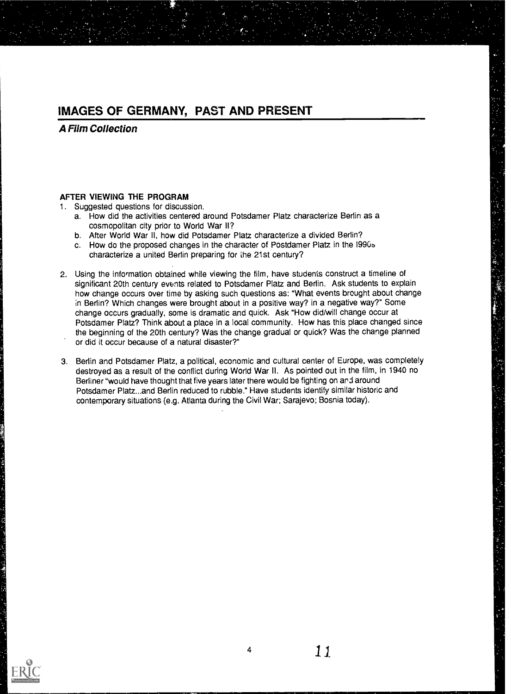A Film Collection

### AFTER VIEWING THE PROGRAM

1. Suggested questions for discussion.

- a. How did the activities centered around Potsdamer Platz characterize Berlin as a cosmopolitan city prior to World War II?
- b. After World War II, how did Potsdamer Platz characterize a divided Berlin?
- c. How do the proposed changes in the character of Postdamer Platz in the I990b characterize a united Berlin preparing for the 21st century?
- 2. Using the information obtained while viewing the film, have students construct a timeline of significant 20th century events related to Potsdamer Platz and Berlin. Ask students to explain how change occurs over time by asking such questions as: "What events brought about change in Berlin? Which changes were brought about in a positive way? in a negative way?" Some change occurs gradually, some is dramatic and quick. Ask "How did/will change occur at Potsdamer Platz? Think about a place in a local community. How has this place changed since the beginning of the 20th century? Was the change gradual or quick? Was the change planned or did it occur because of a natural disaster?"
- 3. Berlin and Potsdamer Platz, a political, economic and cultural center of Europe, was completely destroyed as a result of the conflict during World War II. As pointed out in the film, in 1940 no Berliner "would have thought that five years later there would be fighting on and around Potsdamer Platz...and Berlin reduced to rubble." Have students identify similar historic and contemporary situations (e.g. Atlanta during the Civil War; Sarajevo; Bosnia today).

![](_page_10_Picture_9.jpeg)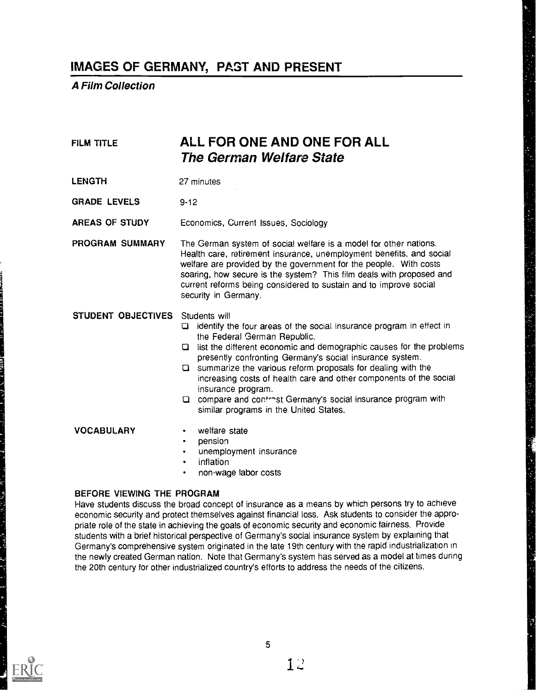A Film Collection

| <b>FILM TITLE</b>          | ALL FOR ONE AND ONE FOR ALL<br>The German Welfare State                                                                                                                                                                                                                                                                                                                                                                                                                                                                                                 |
|----------------------------|---------------------------------------------------------------------------------------------------------------------------------------------------------------------------------------------------------------------------------------------------------------------------------------------------------------------------------------------------------------------------------------------------------------------------------------------------------------------------------------------------------------------------------------------------------|
| <b>LENGTH</b>              | 27 minutes                                                                                                                                                                                                                                                                                                                                                                                                                                                                                                                                              |
| <b>GRADE LEVELS</b>        | $9 - 12$                                                                                                                                                                                                                                                                                                                                                                                                                                                                                                                                                |
| AREAS OF STUDY             | Economics, Current Issues, Sociology                                                                                                                                                                                                                                                                                                                                                                                                                                                                                                                    |
| PROGRAM SUMMARY            | The German system of social welfare is a model for other nations.<br>Health care, retirement insurance, unemployment benefits, and social<br>welfare are provided by the government for the people. With costs<br>soaring, how secure is the system? This film deals with proposed and<br>current reforms being considered to sustain and to improve social<br>security in Germany.                                                                                                                                                                     |
| STUDENT OBJECTIVES         | Students will<br>identify the four areas of the social insurance program in effect in<br>□<br>the Federal German Republic.<br><b>Q</b> list the different economic and demographic causes for the problems<br>presently confronting Germany's social insurance system.<br>$\square$ summarize the various reform proposals for dealing with the<br>increasing costs of health care and other components of the social<br>insurance program.<br>Q compare and contrest Germany's social insurance program with<br>similar programs in the United States. |
| <b>VOCABULARY</b>          | welfare state<br>pension<br>$\bullet$<br>unemployment insurance<br>$\bullet$<br>inflation<br>$\bullet$<br>non-wage labor costs<br>٠                                                                                                                                                                                                                                                                                                                                                                                                                     |
| BEFORE VIEWING THE PROGRAM | Have students discuss the broad concept of insurance as a means by which persons try to achieve<br>economic security and protect themselves against financial loss. Ask students to consider the appro-                                                                                                                                                                                                                                                                                                                                                 |

economic security and protect themselves against financial loss. Ask students to consider the appropriate role of the state in achieving the goals of economic security and economic fairness. Provide students with a brief historical perspective of Germany's social insurance system by explaining that Germany's comprehensive system originated in the late 19th century with the rapid industrialization in the newly created German nation. Note that Germany's system has served as a model at times during the 20th century for other industrialized country's efforts to address the needs of the citizens.

![](_page_11_Picture_4.jpeg)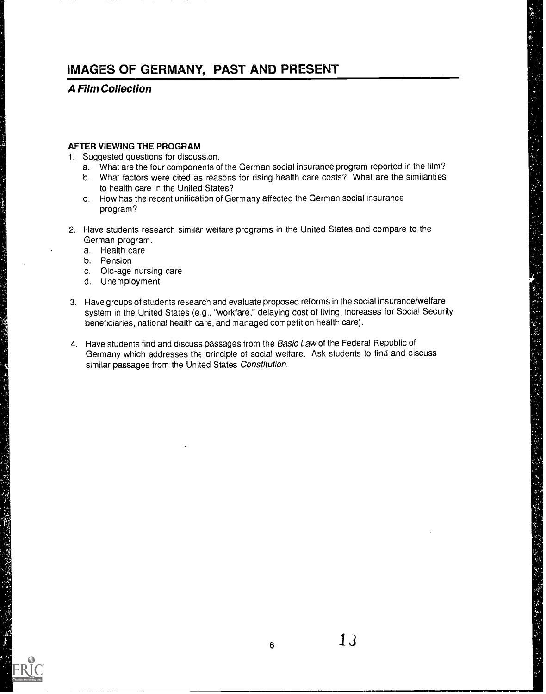A Film Collection

#### AFTER VIEWING THE PROGRAM

- 1. Suggested questions for discussion.
	- a. What are the four components of the German social insurance program reported in the film?
	- b. What factors were cited as reasons for rising health care costs? What are the similarities to health care in the United States?
	- c. How has the recent unification of Germany affected the German social insurance program?
- 2. Have students research similar welfare programs in the United States and compare to the German program.
	- a. Health care
	- b. Pension

- c. Old-age nursing care
- d. Unemployment
- 3. Have groups of students research and evaluate proposed reforms in the social insurance/welfare system in the United States (e.g., "workfare," delaying cost of living, increases for Social Security beneficiaries, national health care, and managed competition health care).
- 4. Have students find and discuss passages from the Basic Law of the Federal Republic of Germany which addresses the principle of social welfare. Ask students to find and discuss similar passages from the United States Constitution.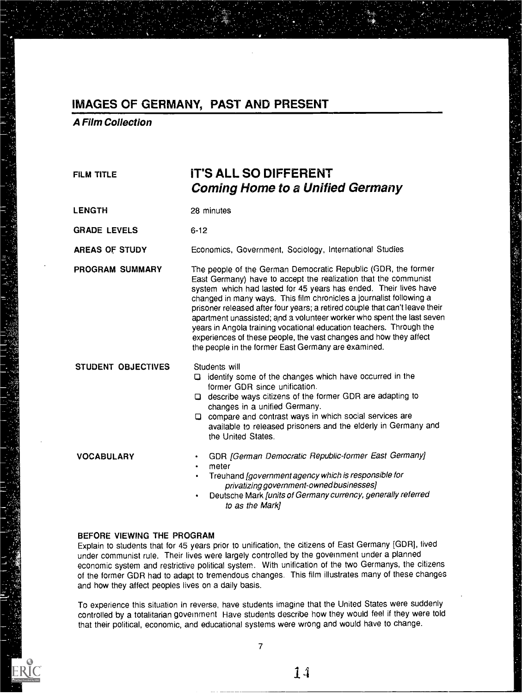A Film Collection

| <b>FILM TITLE</b>         | <b>IT'S ALL SO DIFFERENT</b><br><b>Coming Home to a Unified Germany</b>                                                                                                                                                                                                                                                                                                                                                                                                                                                                                                                                                                |  |  |
|---------------------------|----------------------------------------------------------------------------------------------------------------------------------------------------------------------------------------------------------------------------------------------------------------------------------------------------------------------------------------------------------------------------------------------------------------------------------------------------------------------------------------------------------------------------------------------------------------------------------------------------------------------------------------|--|--|
| <b>LENGTH</b>             | 28 minutes                                                                                                                                                                                                                                                                                                                                                                                                                                                                                                                                                                                                                             |  |  |
| <b>GRADE LEVELS</b>       | $6 - 12$                                                                                                                                                                                                                                                                                                                                                                                                                                                                                                                                                                                                                               |  |  |
| <b>AREAS OF STUDY</b>     | Economics, Government, Sociology, International Studies                                                                                                                                                                                                                                                                                                                                                                                                                                                                                                                                                                                |  |  |
| PROGRAM SUMMARY           | The people of the German Democratic Republic (GDR, the former<br>East Germany) have to accept the realization that the communist<br>system which had lasted for 45 years has ended. Their lives have<br>changed in many ways. This film chronicles a journalist following a<br>prisoner released after four years; a retired couple that can't leave their<br>apartment unassisted; and a volunteer worker who spent the last seven<br>years in Angola training vocational education teachers. Through the<br>experiences of these people, the vast changes and how they affect<br>the people in the former East Germany are examined. |  |  |
| <b>STUDENT OBJECTIVES</b> | Students will<br>$\Box$ identify some of the changes which have occurred in the<br>former GDR since unification.<br>□ describe ways citizens of the former GDR are adapting to<br>changes in a unified Germany.<br>$\Box$ compare and contrast ways in which social services are<br>available to released prisoners and the elderly in Germany and<br>the United States.                                                                                                                                                                                                                                                               |  |  |
| <b>VOCABULARY</b>         | GDR [German Democratic Republic-former East Germany]<br>$\bullet$<br>meter<br>Treuhand [government agency which is responsible for<br>privatizing government-owned businesses]<br>Deutsche Mark [units of Germany currency, generally referred<br>to as the Mark]                                                                                                                                                                                                                                                                                                                                                                      |  |  |

#### BEFORE VIEWING THE PROGRAM

Explain to students that for 45 years prior to unification, the citizens of East Germany [GDR], lived under communist rule. Their lives were largely controlled by the government under a planned economic system and restrictive political system. With unification of the two Germanys, the citizens of the former GDR had to adapt to tremendous changes. This film illustrates many of these changes and how they affect peoples lives on a daily basis.

To experience this situation in reverse, have students imagine that the United States were suddenly controlled by a totalitarian government Have students describe how they would feel if they were told that their political, economic, and educational systems were wrong and would have to change.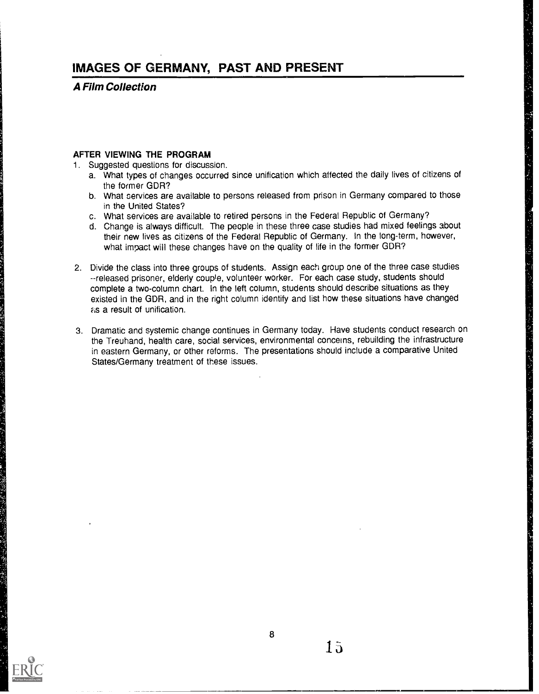A Film Collection

### AFTER VIEWING THE PROGRAM

- 1. Suggested questions for discussion.
	- a. What types of changes occurred since unification which affected the daily lives of citizens of the former GDR?
	- b. What services are available to persons released from prison in Germany compared to those in the United States?
	- c. What services are available to retired persons in the Federal Republic of Germany?
	- d. Change is always difficult. The people in these three case studies had mixed feelings about their new lives as citizens of the Federal Republic of Germany. In the long-term, however, what impact will these changes have on the quality of life in the former GDR?
- 2. Divide the class into three groups of students. Assign each group one of the three case studies --released prisoner, elderly couple, volunteer worker. For each case study, students should complete a two-column chart. In the left column, students should describe situations as they existed in the GDR, and in the right column identify and list how these situations have changed as a result of unification.
- 3. Dramatic and systemic change continues in Germany today. Have students conduct research on the Treuhand, health care, social services, environmental concerns, rebuilding the infrastructure in eastern Germany, or other reforms. The presentations should include a comparative United States/Germany treatment of these issues.

![](_page_14_Picture_10.jpeg)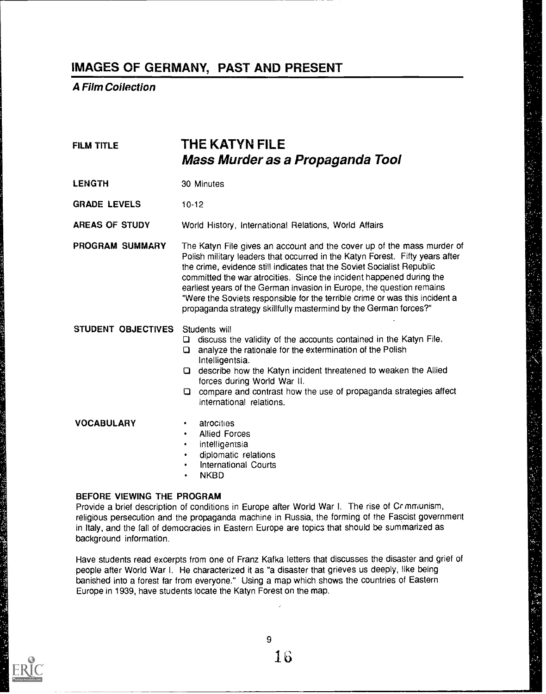A Film Collection

| <b>FILM TITLE</b>   | THE KATYN FILE<br>Mass Murder as a Propaganda Tool                                                                                                                                                                                                                                                                                                                                                                                                                                                                                   |  |  |
|---------------------|--------------------------------------------------------------------------------------------------------------------------------------------------------------------------------------------------------------------------------------------------------------------------------------------------------------------------------------------------------------------------------------------------------------------------------------------------------------------------------------------------------------------------------------|--|--|
| <b>LENGTH</b>       | 30 Minutes                                                                                                                                                                                                                                                                                                                                                                                                                                                                                                                           |  |  |
| <b>GRADE LEVELS</b> | $10 - 12$                                                                                                                                                                                                                                                                                                                                                                                                                                                                                                                            |  |  |
| AREAS OF STUDY      | World History, International Relations, World Affairs                                                                                                                                                                                                                                                                                                                                                                                                                                                                                |  |  |
| PROGRAM SUMMARY     | The Katyn File gives an account and the cover up of the mass murder of<br>Polish military leaders that occurred in the Katyn Forest. Fifty years after<br>the crime, evidence still indicates that the Soviet Socialist Republic<br>committed the war atrocities. Since the incident happened during the<br>earliest years of the German invasion in Europe, the question remains<br>"Were the Soviets responsible for the terrible crime or was this incident a<br>propaganda strategy skillfully mastermind by the German forces?" |  |  |
| STUDENT OBJECTIVES  | Students will<br>discuss the validity of the accounts contained in the Katyn File.<br>Q<br>analyze the rationale for the extermination of the Polish<br>o<br>Intelligentsia.<br>Q describe how the Katyn incident threatened to weaken the Allied<br>forces during World War II.<br>$\Box$ compare and contrast how the use of propaganda strategies affect<br>international relations.                                                                                                                                              |  |  |
| <b>VOCABULARY</b>   | atrocities<br>٠<br><b>Allied Forces</b><br>intelligentsia<br>٠<br>diplomatic relations<br>$\bullet$<br>International Courts<br>٠<br><b>NKBD</b>                                                                                                                                                                                                                                                                                                                                                                                      |  |  |

religious persecution and the propaganda machine in Russia, the forming of the Fascist government in Italy, and the fall of democracies in Eastern Europe are topics that should be summarized as background information.

Have students read excerpts from one of Franz Kafka letters that discusses the disaster and grief of people after World War I. He characterized it as "a disaster that grieves us deeply, like being banished into a forest far from everyone." Using a map which shows the countries of Eastern Europe in 1939, have students locate the Katyn Forest on the map.

![](_page_15_Picture_5.jpeg)

Ŷ.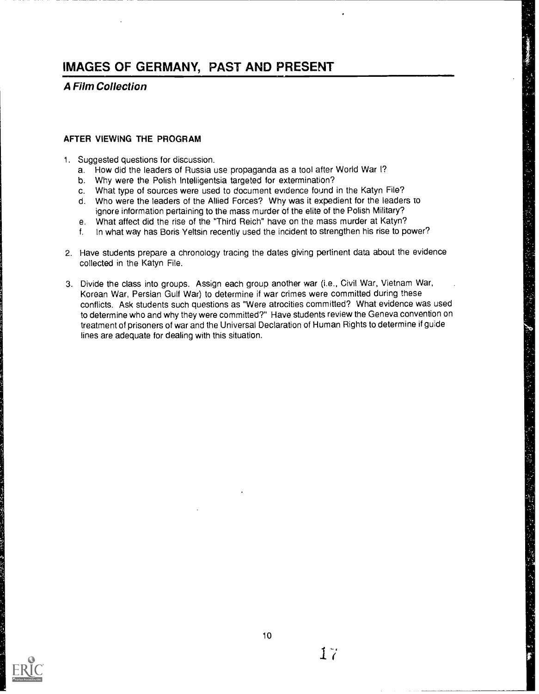A Film Collection

#### AFTER VIEWING THE PROGRAM

- 1. Suggested questions for discussion.
	- a. How did the leaders of Russia use propaganda as a tool after World War I?
	- b. Why were the Polish Intelligentsia targeted for extermination?
	- c. What type of sources were used to document evidence found in the Katyn File?
	- d. Who were the leaders of the Allied Forces? Why was it expedient for the leaders to ignore information pertaining to the mass murder of the elite of the Polish Military?
	- e. What affect did the rise of the "Third Reich" have on the mass murder at Katyn?
	- f. In what way has Boris Yeltsin recently used the incident to strengthen his rise to power?
- 2. Have students prepare a chronology tracing the dates giving pertinent data about the evidence collected in the Katyn File.
- 3. Divide the class into groups. Assign each group another war (i.e., Civil War, Vietnam War, Korean War, Persian Gulf War) to determine if war crimes were committed during these conflicts. Ask students such questions as "Were atrocities committed? What evidence was used to determine who and why they were committed?" Have students review the Geneva convention on treatment of prisoners of war and the Universal Declaration of Human Rights to determine if guide lines are adequate for dealing with this situation.

![](_page_16_Picture_12.jpeg)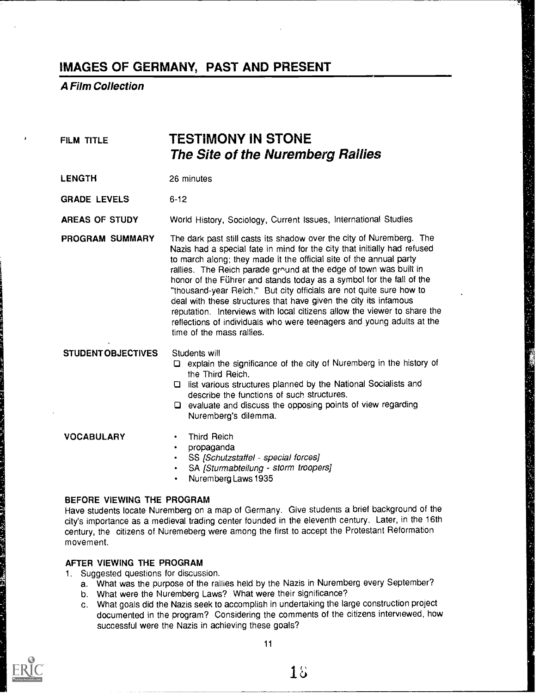A Film Collection

| <b>FILM TITLE</b>          | TESTIMONY IN STONE<br>The Site of the Nuremberg Rallies                                                                                                                                                                                                                                                                                                                                                                                                                                                                                                                                                                                                                                          |  |  |  |
|----------------------------|--------------------------------------------------------------------------------------------------------------------------------------------------------------------------------------------------------------------------------------------------------------------------------------------------------------------------------------------------------------------------------------------------------------------------------------------------------------------------------------------------------------------------------------------------------------------------------------------------------------------------------------------------------------------------------------------------|--|--|--|
| <b>LENGTH</b>              | 26 minutes                                                                                                                                                                                                                                                                                                                                                                                                                                                                                                                                                                                                                                                                                       |  |  |  |
| <b>GRADE LEVELS</b>        | $6 - 12$                                                                                                                                                                                                                                                                                                                                                                                                                                                                                                                                                                                                                                                                                         |  |  |  |
| AREAS OF STUDY             | World History, Sociology, Current Issues, International Studies                                                                                                                                                                                                                                                                                                                                                                                                                                                                                                                                                                                                                                  |  |  |  |
| PROGRAM SUMMARY            | The dark past still casts its shadow over the city of Nuremberg. The<br>Nazis had a special fate in mind for the city that initially had refused<br>to march along; they made it the official site of the annual party<br>rallies. The Reich parade ground at the edge of town was built in<br>honor of the Führer and stands today as a symbol for the fall of the<br>"thousand-year Reich." But city officials are not quite sure how to<br>deal with these structures that have given the city its infamous<br>reputation. Interviews with local citizens allow the viewer to share the<br>reflections of individuals who were teenagers and young adults at the<br>time of the mass rallies. |  |  |  |
| <b>STUDENT OBJECTIVES</b>  | Students will<br>□ explain the significance of the city of Nuremberg in the history of<br>the Third Reich.<br>□ list various structures planned by the National Socialists and<br>describe the functions of such structures.<br>$\square$ evaluate and discuss the opposing points of view regarding<br>Nuremberg's dilemma.                                                                                                                                                                                                                                                                                                                                                                     |  |  |  |
| <b>VOCABULARY</b>          | <b>Third Reich</b><br>٠<br>propaganda<br>$\bullet$<br>SS [Schutzstaffel - special forces]<br>٠<br>SA [Sturmabteilung - storm troopers]<br>$\bullet$<br>Nuremberg Laws 1935<br>$\bullet$                                                                                                                                                                                                                                                                                                                                                                                                                                                                                                          |  |  |  |
| BEFORE VIEWING THE PROGRAM | Have studente legate Nuromberg en a mary of Cormany. Give students a brief background of the                                                                                                                                                                                                                                                                                                                                                                                                                                                                                                                                                                                                     |  |  |  |

Have students locate Nuremberg on a map of Germany. Give students a brief background of the city's importance as a medieval trading center founded in the eleventh century. Later, in the 16th century, the citizens of Nuremeberg were among the first to accept the Protestant Reformation movement.

#### AFTER VIEWING THE PROGRAM

- 1. Suggested questions for discussion.
	- a. What was the purpose of the rallies held by the Nazis in Nuremberg every September?
	- b. What were the Nuremberg Laws? What were their significance?
	- c. What goals did the Nazis seek to accomplish in undertaking the large construction project documented in the program? Considering the comments of the citizens interviewed, how successful were the Nazis in achieving these goals?

![](_page_17_Picture_9.jpeg)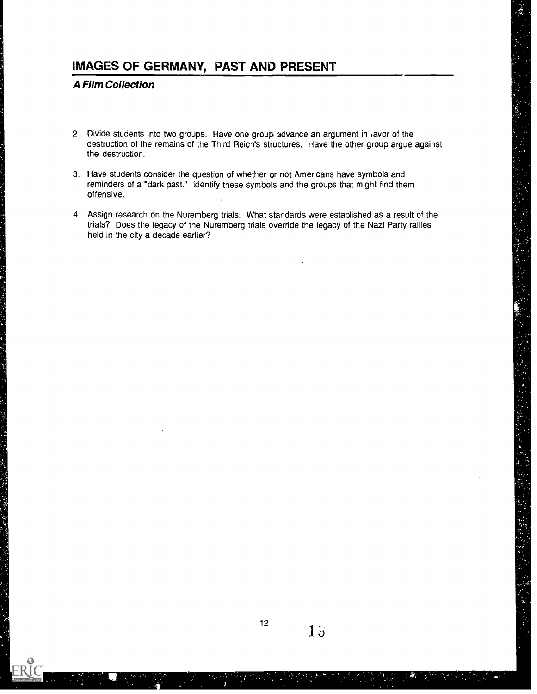A Film Collection

- 2. Divide students into two groups. Have one group advance an argument in avor of the destruction of the remains of the Third Reich's structures. Have the other group argue against the destruction.
- 3. Have students consider the question of whether or not Americans have symbols and reminders of a "dark past." identify these symbols and the groups that might find them offensive.
- 4. Assign research on the Nuremberg trials. What standards were established as a result of the trials? Does the legacy of the Nuremberg trials override the legacy of the Nazi Party rallies held in the city a decade earlier?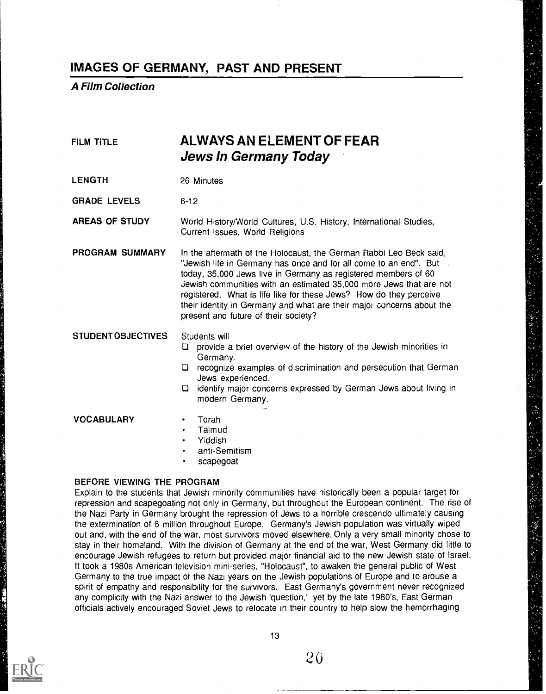A Film Collection

| <b>FILM TITLE</b>          | ALWAYS AN ELEMENT OF FEAR<br><b>Jews in Germany Today</b>                                                                                                                                                                                                                                                                                                                                                                                                                |
|----------------------------|--------------------------------------------------------------------------------------------------------------------------------------------------------------------------------------------------------------------------------------------------------------------------------------------------------------------------------------------------------------------------------------------------------------------------------------------------------------------------|
| <b>LENGTH</b>              | 26 Minutes                                                                                                                                                                                                                                                                                                                                                                                                                                                               |
| <b>GRADE LEVELS</b>        | $6 - 12$                                                                                                                                                                                                                                                                                                                                                                                                                                                                 |
| <b>AREAS OF STUDY</b>      | World History/World Cultures, U.S. History, International Studies,<br>Current Issues, World Religions                                                                                                                                                                                                                                                                                                                                                                    |
| PROGRAM SUMMARY            | In the aftermath of the Holocaust, the German Rabbi Leo Beck said,<br>"Jewish life in Germany has once and for all come to an end". But a<br>today, 35,000 Jews live in Germany as registered members of 60<br>Jewish communities with an estimated 35,000 more Jews that are not<br>registered. What is life like for these Jews? How do they perceive<br>their identity in Germany and what are their major concerns about the<br>present and future of their society? |
| <b>STUDENT OBJECTIVES</b>  | Students will<br>provide a brief overview of the history of the Jewish minorities in<br>0.<br>Germany.<br>recognize examples of discrimination and persecution that German<br>O<br>Jews experienced.<br>identify major concerns expressed by German Jews about living in<br>O<br>modern Germany.                                                                                                                                                                         |
| <b>VOCABULARY</b>          | Torah<br>٠<br>Talmud<br>$\bullet$<br>Yiddish<br>٠<br>anti-Semitism<br>scapegoat                                                                                                                                                                                                                                                                                                                                                                                          |
| BEFORE VIEWING THE PROGRAM |                                                                                                                                                                                                                                                                                                                                                                                                                                                                          |

Explain to the students that Jewish minority communities have historically been a popular target for repression and scapegoating not only in Germany, but throughout the European continent. The rise of the Nazi Party in Germany brought the repression of Jews to a horrible crescendo ultimately causing the extermination of 6 million throughout Europe. Germany's Jewish population was virtually wiped out and, with the end of the war, most survivors moved elsewhere. Only a very small minority chose to stay in their homeland. With the division of Germany at the end of the war, West Germany did little to encourage Jewish refugees to return but provided major financial aid to the new Jewish state of Israel. It took a 1980s American television mini-series, "Holocaust", to awaken the general public of West Germany to the true impact of the Nazi years on the Jewish populations of Europe and to arouse a spirit of empathy and responsibility for the survivors. East Germany's government never recognized any complicity with the Nazi answer to the Jewish 'question,' yet by the late 1980's, East German officials actively encouraged Soviet Jews to relocate in their country to help slow the hemorrhaging

![](_page_19_Picture_4.jpeg)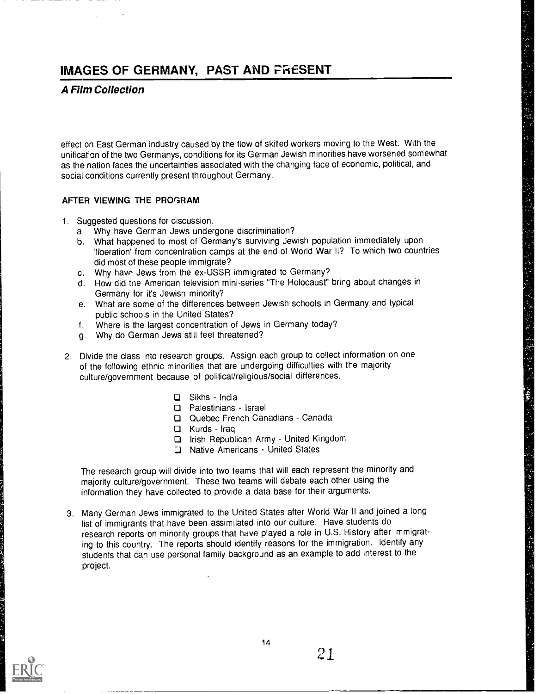### A Film Collection

effect on East German industry caused by the flow of skilled workers moving to the West. With the unification of the two Germanys, conditions for its German Jewish minorities have worsened somewhat as the nation faces the uncertainties associated with the changing face of economic, political, and social conditions currently present throughout Germany.

### AFTER VIEWING THE PROGRAM

- 1. Suggested questions for discussion.
	- a. Why have German Jews undergone discrimination?
	- b. What happened to most of Germany's surviving Jewish population immediately upon 'liberation' from concentration camps at the end of World War II? To which two countries did most of these people immigrate?

(《 传统传统》) "我们的人的人"

经重新经营经营 以水 高麗的 法假

- c. Why have Jews from the ex-USSR immigrated to Germany?
- d. How did tne American television mini-series "The Holocaust" bring about changes in Germany for it's Jewish minority?
- e. What are some of the differences between Jewish schools in Germany and typical public schools in the United States?
- f. Where is the largest concentration of Jews in Germany today?
- g. Why do German Jews still feel threatened?
- 2. Divide the class into research groups. Assign each group to collect information on one of the following ethnic minorities that are undergoing difficulties with the majority culture/government because of political/religious/social differences.
	- $\square$  Sikhs India
	- D Palestinians Israel
	- Quebec French Canadians Canada
	- $\Box$  Kurds Iraq
	- □ Irish Republican Army United Kingdom
	- D Native Americans United States

The research group will divide into two teams that will each represent the minority and majority culture/government. These two teams will debate each other using the information they have collected to provide a data base for their arguments.

3. Many German Jews immigrated to the United States after World War II and joined a long list of immigrants that have been assimilated into our culture. Have students do research reports on minority groups that have played a role in U.S. History after immigrating to this country. The reports should identify reasons for the immigration. Identify any students that can use personal family background as an example to add interest to the project.

![](_page_20_Picture_21.jpeg)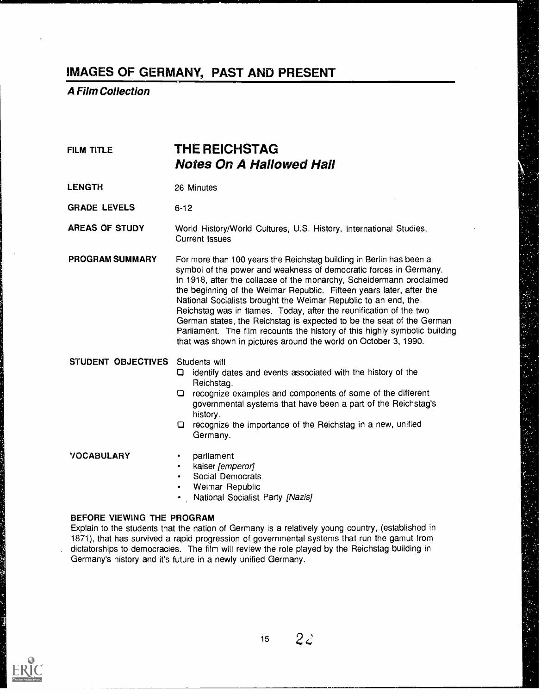### A Film Collection

### FILM TITLE **THE REICHSTAG** Notes On A Hallowed Hall

LENGTH 26 Minutes

GRADE LEVELS 6-12

AREAS OF STUDY World History/World Cultures, U.S. History, International Studies, Current Issues

PROGRAM SUMMARY For more than 100 years the Reichstag building in Berlin has been a symbol of the power and weakness of democratic forces in Germany. In 1918, after the collapse of the monarchy, Scheidermann proclaimed the beginning of the Weimar Republic. Fifteen years later, after the National Socialists brought the Weimar Republic to an end, the Reichstag was in flames. Today, after the reunification of the two German states, the Reichstag is expected to be the seat of the German Parliament. The film recounts the history of this highly symbolic building that was shown in pictures around the world on October 3, 1990.

#### STUDENT OBJECTIVES Students will

- O identify dates and events associated with the history of the Reichstag.
- recognize examples and components of some of the different governmental systems that have been a part of the Reichstag's history.
- recognize the importance of the Reichstag in a new, unified Germany.

- VOCABULARY · parliament
	- kaiser [emperor]
	- Social Democrats
	- Weimar Republic
	- National Socialist Party [Nazis]

#### BEFORE VIEWING THE PROGRAM

Explain to the students that the nation of Germany is a relatively young country, (established in 1871), that has survived a rapid progression of governmental systems that run the gamut from . dictatorships to democracies. The film will review the role played by the Reichstag building in Germany's history and it's future in a newly unified Germany.

![](_page_21_Picture_19.jpeg)

15

 $2\mathcal{Z}$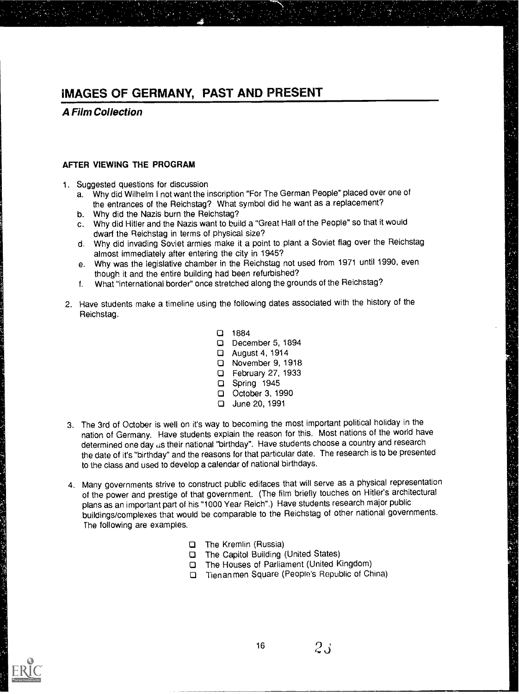A Film Collection

### AFTER VIEWING THE PROGRAM

- 1. Suggested questions for discussion
	- a. Why did Wilhelm I not want the inscription "For The German People" placed over one of the entrances of the Reichstag? What symbol did he want as a replacement?
	- b. Why did the Nazis burn the Reichstag?
	- c. Why did Hitler and the Nazis want to build a "Great Hall of the People" so that it would dwarf the Reichstag in terms of physical size?
	- d. Why did invading Soviet armies make it a point to plant a Soviet flag over the Reichstag almost immediately after entering the city in 1945?

计可分配 医多孢菌素 化高压高度 医神经细胞 网络马克拉克 医中间的

- e. Why was the legislative chamber in the Reichstag not used from 1971 until 1990, even though it and the entire building had been refurbished?
- f. What "international border" once stretched along the grounds of the Reichstag?
- 2. Have students make a timeline using the following dates associated with the history of the Reichstag.
	- 1884
	- December 5, 1894
	- August 4, 1914
	- November 9, 1918
	- □ February 27, 1933
	- Spring 1945
	- October 3, 1990
	- □ June 20, 1991
- 3. The 3rd of October is well on it's way to becoming the most important political holiday in the nation of Germany. Have students explain the reason for this. Most nations of the world have determined one day us their national "birthday". Have students choose a country and research the date of it's "birthday" and the reasons for that particular date. The research is to be presented to the class and used to develop a calendar of national birthdays.
- 4. Many governments strive to construct public edifaces that will serve as a physical representation of the power and prestige of that government. (The film briefly touches on Hitler's architectural plans as an important part of his "1000 Year Reich".) Have students research major public buildings/complexes that would be comparable to the Reichstag of other national governments. The following are examples.
	- The Kremlin (Russia)
	- The Capitol Building (United States)
	- The Houses of Parliament (United Kingdom)
	- Tienan men Square (People's Republic of China)

 $2\mathsf{J}$ 

![](_page_22_Picture_25.jpeg)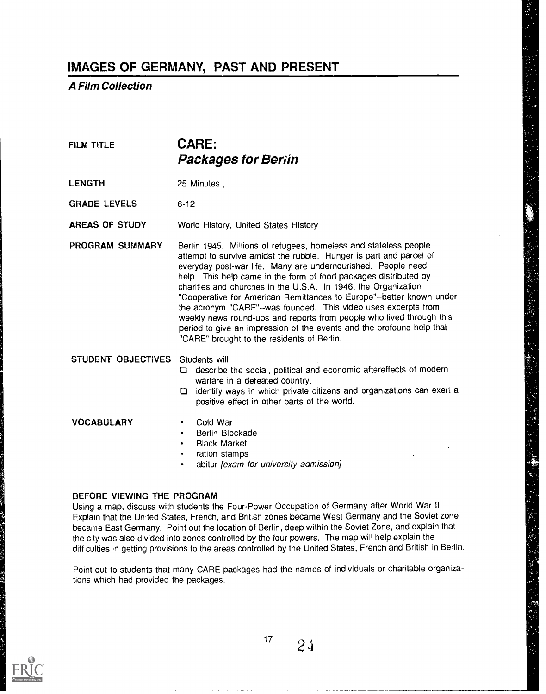A Film Collection

### FILM TITLE **CARE:** Packages for Berlin

LENGTH 25 Minutes

GRADE LEVELS 6-12

AREAS OF STUDY World History, United States History

PROGRAM SUMMARY Berlin 1945. Millions of refugees, homeless and stateless people attempt to survive amidst the rubble. Hunger is part and parcel of everyday post-war life. Many are undernourished. People need help. This help came in the form of food packages distributed by charities and churches in the U.S.A. In 1946, the Organization "Cooperative for American Remittances to Europe"--better known under the acronym "CARE"--was founded. This video uses excerpts from weekly news round-ups and reports from people who lived through this period to give an impression of the events and the profound help that "CARE" brought to the residents of Berlin.

#### STUDENT OBJECTIVES Students will

- describe the social, political and economic aftereffects of modern warfare in a defeated country.
- $\square$  identify ways in which private citizens and organizations can exert a positive effect in other parts of the world.

### VOCABULARY · Cold War

- 
- Berlin Blockade
- Black Market
- ration stamps
- abitur [exam for university admission]

#### BEFORE VIEWING THE PROGRAM

Using a map, discuss with students the Four-Power Occupation of Germany after World War II. Explain that the United States, French, and British zones became West Germany and the Soviet zone became East Germany. Point out the location of Berlin, deep within the Soviet Zone, and explain that the city was also divided into zones controlled by the four powers. The map will help explain the difficulties in getting provisions to the areas controlled by the United States, French and British in Berlin.

Point out to students that many CARE packages had the names of individuals or charitable organizations which had provided the packages.

![](_page_23_Picture_19.jpeg)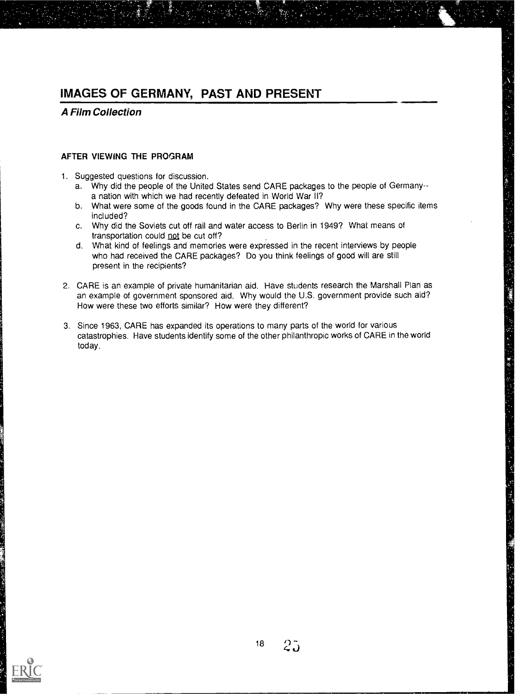A Film Collection

### AFTER VIEWING THE PROGRAM

- 1. Suggested questions for discussion.
	- a. Why did the people of the United States send CARE packages to the people of Germany- a nation with which we had recently defeated in World War II?
	- b. What were some of the goods found in the CARE packages? Why were these specific items included?
	- c. Why did the Soviets cut off rail and water access to Berlin in 1949? What means of transportation could not be cut off?
	- d. What kind of feelings and memories were expressed in the recent interviews by people who had received the CARE packages? Do you think feelings of good will are still present in the recipients?
- 2. CARE is an example of private humanitarian aid. Have students research the Marshall Plan as an example of government sponsored aid. Why would the U.S. government provide such aid? How were these two efforts similar? How were they different?
- 3. Since 1963, CARE has expanded its operations to many parts of the world for various catastrophies. Have students identify some of the other philanthropic works of CARE in the world today.

化乙烯 机电子聚酰胺

"编"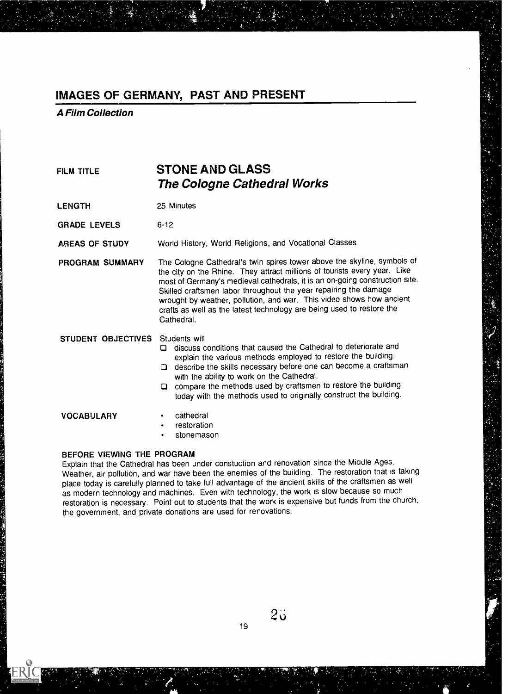A Film Collection

| FILM TITLE          | <b>STONE AND GLASS</b><br><b>The Cologne Cathedral Works</b>                                                                                                                                                                                                                                                                                                                                                                                                                                                                               |  |  |  |
|---------------------|--------------------------------------------------------------------------------------------------------------------------------------------------------------------------------------------------------------------------------------------------------------------------------------------------------------------------------------------------------------------------------------------------------------------------------------------------------------------------------------------------------------------------------------------|--|--|--|
| <b>LENGTH</b>       | 25 Minutes                                                                                                                                                                                                                                                                                                                                                                                                                                                                                                                                 |  |  |  |
| <b>GRADE LEVELS</b> | $6-12$<br>World History, World Religions, and Vocational Classes<br>The Cologne Cathedral's twin spires tower above the skyline, symbols of<br>the city on the Rhine. They attract millions of tourists every year. Like<br>most of Germany's medieval cathedrals, it is an on-going construction site.<br>Skilled craftsmen labor throughout the year repairing the damage<br>wrought by weather, pollution, and war. This video shows how ancient<br>crafts as well as the latest technology are being used to restore the<br>Cathedral. |  |  |  |
| AREAS OF STUDY      |                                                                                                                                                                                                                                                                                                                                                                                                                                                                                                                                            |  |  |  |
| PROGRAM SUMMARY     |                                                                                                                                                                                                                                                                                                                                                                                                                                                                                                                                            |  |  |  |
| STUDENT OBJECTIVES  | Students will<br>discuss conditions that caused the Cathedral to deteriorate and<br>o<br>explain the various methods employed to restore the building.<br>describe the skills necessary before one can become a craftsman<br>O<br>with the ability to work on the Cathedral.<br>compare the methods used by craftsmen to restore the building<br>0<br>today with the methods used to originally construct the building.                                                                                                                    |  |  |  |
| <b>VOCABULARY</b>   | cathedral<br>٠<br>restoration<br>٠<br>stonemason<br>٠                                                                                                                                                                                                                                                                                                                                                                                                                                                                                      |  |  |  |
|                     |                                                                                                                                                                                                                                                                                                                                                                                                                                                                                                                                            |  |  |  |

### BEFORE VIEWING THE PROGRAM

Explain that the Cathedral has been under constuction and renovation since the Middle Ages. Weather, air pollution, and war have been the enemies of the building. The restoration that is taking place today is carefully planned to take full advantage of the ancient skills of the craftsmen as well as modern technology and machines. Even with technology, the work is slow because so much restoration is necessary. Point out to students that the work is expensive but funds from the church, the government, and private donations are used for renovations.

 $2\ddot{\circ}$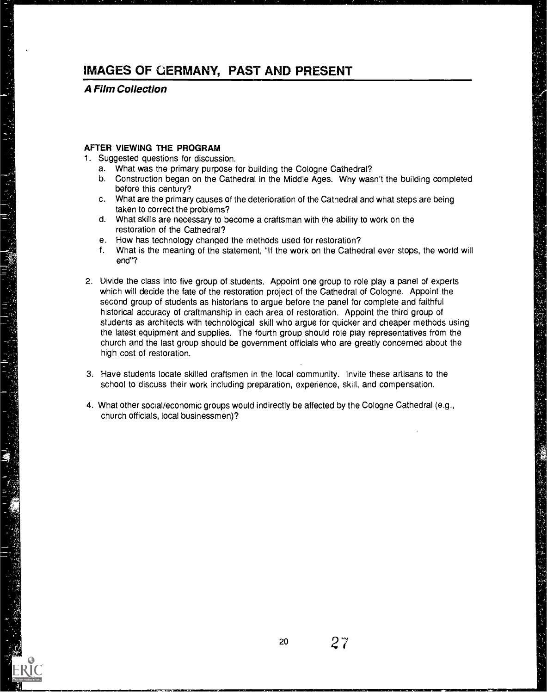A Film Collection

计上进入电路

#### AFTER VIEWING THE PROGRAM

- 1. Suggested questions for discussion.
	- a. What was the primary purpose for building the Cologne Cathedral?
	- b. Construction began on the Cathedral in the Middle Ages. Why wasn't the building completed before this century?
	- c. What are the primary causes of the deterioration of the Cathedral and what steps are being taken to correct the problems?
	- d. What skills are necessary to become a craftsman with the ability to work on the restoration of the Cathedral?
	- e. How has technology changed the methods used for restoration?
	- f. What is the meaning of the statement, "If the work on the Cathedral ever stops, the world will end"?
- 2. Uivide the class into five group of students. Appoint one group to role play a panel of experts which will decide the fate of the restoration project of the Cathedral of Cologne. Appoint the second group of students as historians to argue before the panel for complete and faithful historical accuracy of craftmanship in each area of restoration. Appoint the third group of students as architects with technological skill who argue for quicker and cheaper methods using the latest equipment and supplies. The fourth group should role play representatives from the church and the last group should be government officials who are greatly concerned about the high cost of restoration.
- 3. Have students locate skilled craftsmen in the local community. Invite these artisans to the school to discuss their work including preparation, experience, skill, and compensation.
- 4. What other social/economic groups would indirectly be affected by the Cologne Cathedral (e.g., church officials, local businessmen)?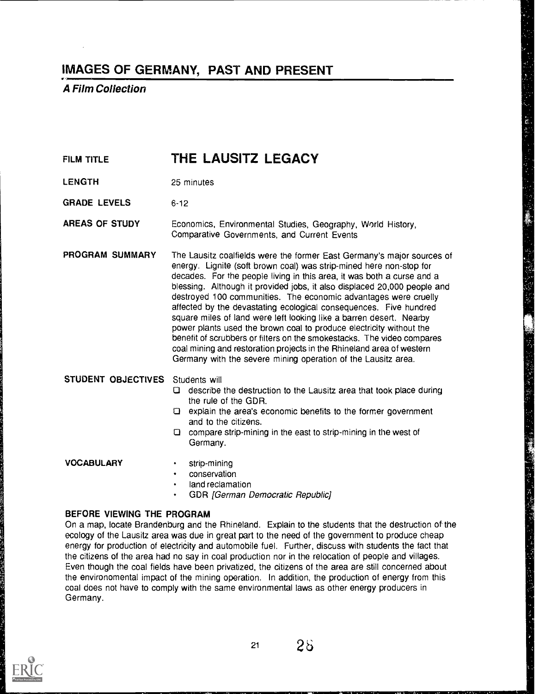A Film Collection

### FILM TITLE **THE LAUSITZ LEGACY**

- LENGTH 25 minutes
- GRADE LEVELS 6-12

AREAS OF STUDY Economics, Environmental Studies, Geography, World History, Comparative Governments, and Current Events

PROGRAM SUMMARY The Lausitz coalfields were the former East Germany's major sources of energy. Lignite (soft brown coal) was strip-mined here non-stop for decades. For the people living in this area, it was both a curse and a blessing. Although it provided jobs, it also displaced 20,000 people and destroyed 100 communities. The economic advantages were cruelly affected by the devastating ecological consequences. Five hundred square miles of land were left looking like a barren desert. Nearby power plants used the brown coal to produce electricity without the benefit of scrubbers or filters on the smokestacks. The video compares coal mining and restoration projects in the Rhineland area of western Germany with the severe mining operation of the Lausitz area.

### STUDENT OBJECTIVES Students will

describe the destruction to the Lausitz area that took place during the rule of the GDR.

研究所 著 增强增强的 化五苯异丙二

- $\square$  explain the area's economic benefits to the former government and to the citizens.
- compare strip-mining in the east to strip-mining in the west of Germany.

#### VOCABULARY · strip-mining

- 
- conservation
- land reclamation
- GDR [German Democratic Republic]

#### BEFORE VIEWING THE PROGRAM

On a map, locate Brandenburg and the Rhineland. Explain to the students that the destruction of the ecology of the Lausitz area was due in great part to the need of the government to produce cheap energy for production of electricity and automobile fuel. Further, discuss with students the fact that the citizens of the area had no say in coal production nor in the relocation of people and villages. Even though the coal fields have been privatized, the citizens of the area are still concerned about the environomental impact of the mining operation. In addition, the production of energy from this coal does not have to comply with the same environmental laws as other energy producers in Germany.

![](_page_27_Picture_18.jpeg)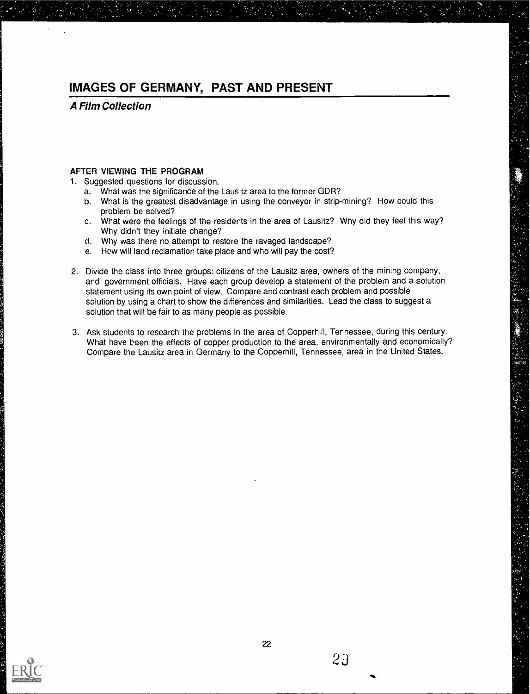### A Film Collection

#### AFTER VIEWING THE PROGRAM

- 1. Suggested questions for discussion.
	- a. What was the significance of the Lausitz area to the former GDR?
	- b. What is the greatest disadvantage in using the conveyor in strip-mining? How could this problem be solved?
	- c. What were the feelings of the residents in the area of Lausitz? Why did they feel this way? Why didn't they initiate change?
	- d. Why was there no attempt to restore the ravaged landscape?
	- e. How will land reclamation take place and who will pay the cost?
- 2. Divide the class into three groups: citizens of the Lausitz area, owners of the mining company, and government officials. Have each group develop a statement of the problem and a solution statement using its own point of view. Compare and contrast each problem and possible solution by using a chart to show the differences and similarities. Lead the class to suggest a solution that will be fair to as many people as possible.
- 3. Ask students to research the problems in the area of Copperhill, Tennessee, during this century. What have been the effects of copper production to the area, environmentally and economically? Compare the Lausitz area in Germany to the Copperhill, Tennessee, area in the United States.

![](_page_28_Picture_11.jpeg)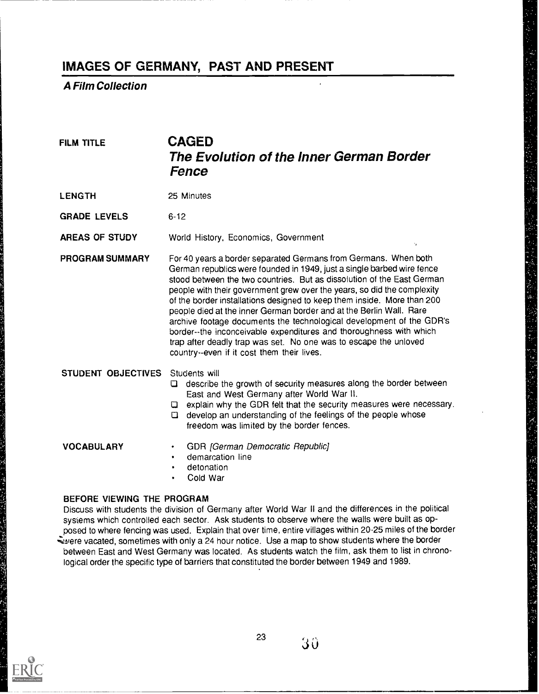A Film Collection

### FILM TITLE **CAGED** The Evolution of the Inner German Border Fence

LENGTH 25 Minutes

GRADE LEVELS 6-12

AREAS OF STUDY World History, Economics, Government

PROGRAM SUMMARY For 40 years a border separated Germans from Germans. When both German republics were founded in 1949, just a single barbed wire fence stood between the two countries. But as dissolution of the East German people with their government grew over the years, so did the complexity of the border installations designed to keep them inside. More than 200 people died at the inner German border and at the Berlin Wall. Rare archive footage documents the technological development of the GDR's border- -the inconceivable expenditures and thoroughness with which trap after deadly trap was set. No one was to escape the unloved country--even if it cost them their lives.

### STUDENT OBJECTIVES Students will

- $\Box$  describe the growth of security measures along the border between East and West Germany after World War II.
- **Q** explain why the GDR felt that the security measures were necessary.

医乳糖酸盐 医紫色 化苯甲酸 医心包 医皮肤病 医皮肤病 医心包的 医神经管 医神经管 医心包的 医心包的 医心包 医心理 医喉炎 医心包 医心包结 医心包 医心包 医心包的 医心包的 医心包的 医心包的 经经营 医心包的

 $\Box$  develop an understanding of the feelings of the people whose freedom was limited by the border fences.

- VOCABULARY GDR [German Democratic Republic]
	- demarcation line
	- detonation
	- Cold War

### BEFORE VIEWING THE PROGRAM

Discuss with students the division of Germany after World War II and the differences in the political sysiems which controlled each sector. Ask students to observe where the walls were built as opposed to where fencing was used. Explain that over time, entire villages within 20-25 miles of the border evere vacated, sometimes with only a 24 hour notice. Use a map to show students where the border between East and West Germany was located. As students watch the film, ask them to list in chronological order the specific type of barriers that constituted the border between 1949 and 1989.

![](_page_29_Picture_18.jpeg)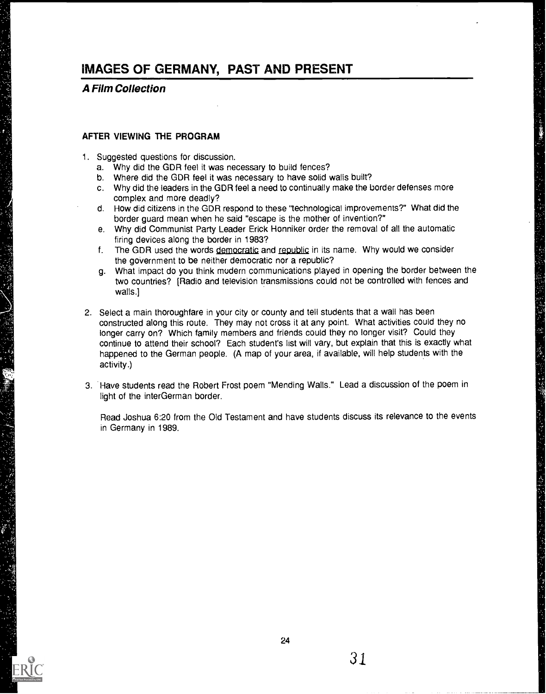### A Film Collection

#### AFTER VIEWING THE PROGRAM

- 1. Suggested questions for discussion.
	- a. Why did the GDR feel it was necessary to build fences?
	- b. Where did the GDR feel it was necessary to have solid walls built?
	- c. Why did the leaders in the GDR feel a need to continually make the border defenses more complex and more deadly?

けいかん じゅんぽ おぼけれ

- d. How did citizens in the GDR respond to these "technological improvements?" What did the border guard mean when he said "escape is the mother of invention?"
- e. Why did Communist Party Leader Erick Honniker order the removal of all the automatic firing devices along the border in 1983?
- f. The GDR used the words democratic and republic in its name. Why would we consider the government to be neither democratic nor a republic?
- g. What impact do you think modern communications played in opening the border between the two countries? [Radio and television transmissions could not be controlled with fences and walls.]
- 2. Select a main thoroughfare in your city or county and tell students that a wall has been constructed along this route. They may not cross it at any point. What activities could they no longer carry on? Which family members and friends could they no longer visit? Could they continue to attend their school? Each student's list will vary, but explain that this is exactly what happened to the German people. (A map of your area, if available, will help students with the activity.)
- 3. Have students read the Robert Frost poem "Mending Walls." Lead a discussion of the poem in light of the interGerman border.

Read Joshua 6:20 from the Old Testament and have students discuss its relevance to the events in Germany in 1989.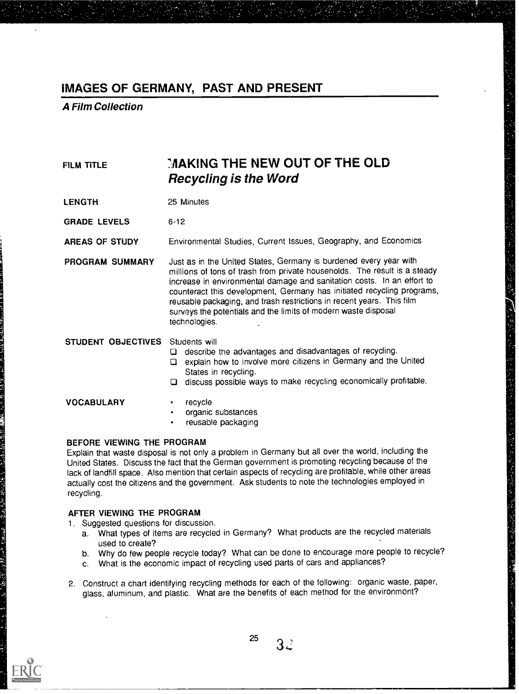A Film Collection

| <b>FILM TITLE</b>   | MAKING THE NEW OUT OF THE OLD<br><b>Recycling is the Word</b>                                                                                                                                                                                                                                                                                                                                                                                                  |  |  |  |
|---------------------|----------------------------------------------------------------------------------------------------------------------------------------------------------------------------------------------------------------------------------------------------------------------------------------------------------------------------------------------------------------------------------------------------------------------------------------------------------------|--|--|--|
| <b>LENGTH</b>       | 25 Minutes                                                                                                                                                                                                                                                                                                                                                                                                                                                     |  |  |  |
| <b>GRADE LEVELS</b> | $6-12$                                                                                                                                                                                                                                                                                                                                                                                                                                                         |  |  |  |
| AREAS OF STUDY      | Environmental Studies, Current Issues, Geography, and Economics                                                                                                                                                                                                                                                                                                                                                                                                |  |  |  |
| PROGRAM SUMMARY     | Just as in the United States, Germany is burdened every year with<br>millions of tons of trash from private households. The result is a steady<br>increase in environmental damage and sanitation costs. In an effort to<br>counteract this development, Germany has initiated recycling programs,<br>reusable packaging, and trash restrictions in recent years. This film<br>surveys the potentials and the limits of modern waste disposal<br>technologies. |  |  |  |
| STUDENT OBJECTIVES  | Students will<br>describe the advantages and disadvantages of recycling.<br>Q.<br>explain how to involve more citizens in Germany and the United<br>$\Box$<br>States in recycling.<br>discuss possible ways to make recycling economically profitable.<br>$\Box$                                                                                                                                                                                               |  |  |  |
| <b>VOCABULARY</b>   | recycle<br>organic substances<br>$\bullet$<br>reusable packaging<br>$\bullet$                                                                                                                                                                                                                                                                                                                                                                                  |  |  |  |

#### BEFORE VIEWING THE PROGRAM

Explain that waste disposal is not only a problem in Germany but all over the world, including the United States. Discuss the fact that the German government is promoting recycling because of the lack of landfill space. Also mention that certain aspects of recycling are profitable, while other areas actually cost the citizens and the government. Ask students to note the technologies employed in recycling.

#### AFTER VIEWING THE PROGRAM

1. Suggested questions for discussion.

- a. What types of items are recycled in Germany? What products are the recycled materials used to create?
- b. Why do few people recycle today? What can be done to encourage more people to recycle?

计多数 医心理 医心理学 医心理学 医心理学 医心理学

- c. What is the economic impact of recycling used parts of cars and appliances?
- 2. Construct a chart identifying recycling methods for each of the following: organic waste, paper, glass, aluminum, and plastic. What are the benefits of each method for the environment?

![](_page_31_Picture_11.jpeg)

25 $3\ddot{z}$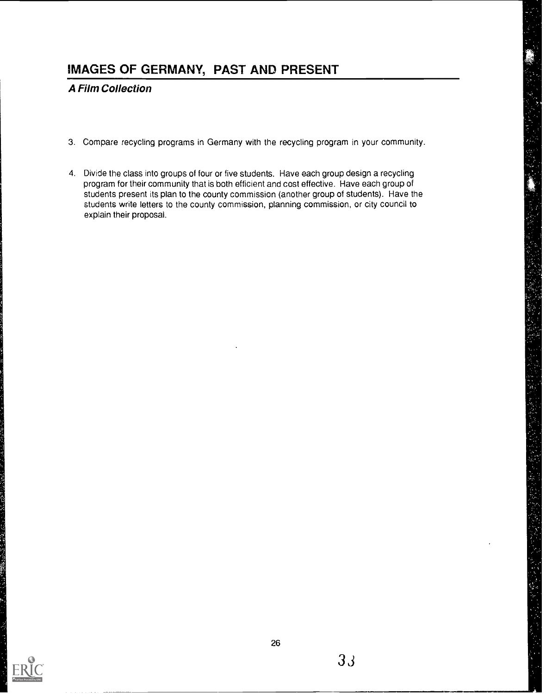### A Film Collection

- 3. Compare recycling programs in Germany with the recycling program in your community.
- 4. Divide the class into groups of four or five students. Have each group design a recycling program for their community that is both efficient and cost effective. Have each group of students present its plan to the county commission (another group of students). Have the students write letters to the county commission, planning commission, or city council to explain their proposal.

![](_page_32_Picture_4.jpeg)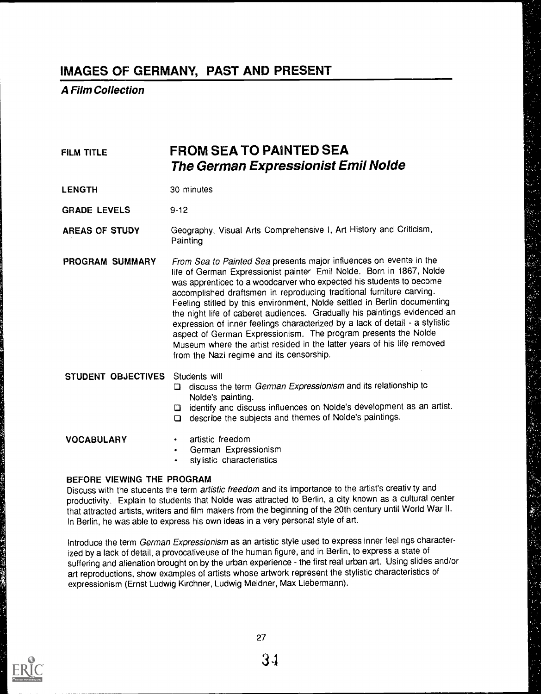### A Film Collection

### FILM TITLE **FROM SEA TO PAINTED SEA** The German Expressionist Emil Nolde

LENGTH 30 minutes

GRADE LEVELS 9-12

AREAS OF STUDY Geography, Visual Arts Comprehensive I, Art History and Criticism, **Painting** 

PROGRAM SUMMARY From Sea to Painted Sea presents major influences on events in the life of German Expressionist painter Emil Nolde. Born in 1867, Nolde was apprenticed to a woodcarver who expected his students to become accomplished draftsmen in reproducing traditional furniture carving. Feeling stifled by this environment, Nolde settled in Berlin documenting the night life of caberet audiences. Gradually his paintings evidenced an expression of inner feelings characterized by a lack of detail - a stylistic aspect of German Expressionism. The program presents the Nolde Museum where the artist resided in the latter years of his life removed from the Nazi regime and its censorship.

#### STUDENT OBJECTIVES Students will

- $\Box$  discuss the term *German Expressionism* and its relationship tc Nolde's painting.
- identify and discuss influences on Nolde's development as an artist.
- $\Box$  describe the subjects and themes of Nolde's paintings.

- VOCABULARY · artistic freedom
	- German Expressionism
	- stylistic characteristics

#### BEFORE VIEWING THE PROGRAM

Discuss with the students the term artistic freedom and its importance to the artist's creativity and productivity. Explain to students that Nolde was attracted to Berlin, a city known as a cultural center that attracted artists, writers and film makers from the beginning of the 20th century until World War II. In Berlin, he was able to express his own ideas in a very personal style of art.

Introduce the term German Expressionism as an artistic style used to express inner feelings characterized by a lack of detail, a provocative use of the human figure, and in Berlin, to express a state of suffering and alienation brought on by the urban experience - the first real urban art. Using slides and/or art reproductions, show examples of artists whose artwork represent the stylistic characteristics of expressionism (Ernst Ludwig Kirchner, Ludwig Meidner, Max Liebermann).

![](_page_33_Picture_18.jpeg)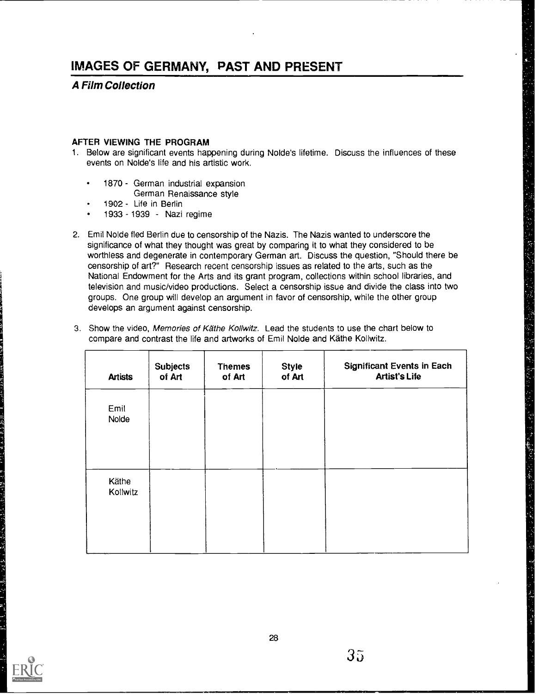### A Film Collection

#### AFTER VIEWING THE PROGRAM

- 1. Below are significant events happening during Nolde's lifetime. Discuss the influences of these events on Nolde's life and his artistic work.
	- 1870 German industrial expansion
		- German Renaissance style
	- 1902 Life in Berlin
	- 1933 1939 Nazi regime
- 2. Emil Nolde fled Berlin due to censorship of the Nazis. The Nazis wanted to underscore the significance of what they thought was great by comparing it to what they considered to be worthless and degenerate in contemporary German art. Discuss the question, "Should there be censorship of art?" Research recent censorship issues as related to the arts, such as the National Endowment for the Arts and its grant program, collections within school libraries, and television and music/video productions. Select a censorship issue and divide the class into two groups. One group will develop an argument in favor of censorship, while the other group develops an argument against censorship.
- 3. Show the video, Memories of Käthe Kollwitz. Lead the students to use the chart below to compare and contrast the life and artworks of Emil Nolde and Kathe Kollwitz.

| <b>Artists</b>    | <b>Subjects</b><br>of Art | <b>Themes</b><br>of Art | <b>Style</b><br>of Art | <b>Significant Events in Each</b><br><b>Artist's Life</b> |
|-------------------|---------------------------|-------------------------|------------------------|-----------------------------------------------------------|
| Emil<br>Nolde     |                           |                         |                        |                                                           |
| Käthe<br>Kollwitz |                           |                         |                        |                                                           |
|                   |                           |                         |                        |                                                           |

부장 공동을 살 속을 찾아 보장

人名英格兰人姓氏英格兰人姓氏

网络一种大型的 医心脏病 计图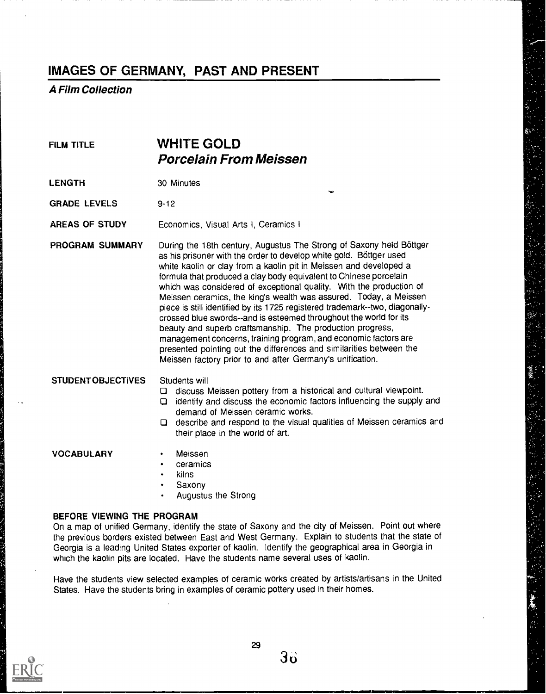### A Film Collection

### FILM TITLE **WHITE GOLD** Porcelain From Meissen

LENGTH 30 Minutes

GRADE LEVELS 9-12

AREAS OF STUDY Economics, Visual Arts I, Ceramics I

PROGRAM SUMMARY During the 18th century, Augustus The Strong of Saxony held Bottger as his prisoner with the order to develop white gold. Böttger used white kaolin or clay from a kaolin pit in Meissen and developed a formula that produced a clay body equivalent to Chinese porcelain which was considered of exceptional quality. With the production of Meissen ceramics, the king's wealth was assured. Today, a Meissen piece is still identified by its 1725 registered trademark--two, diagonallycrossed blue swords--and is esteemed throughout the world for its beauty and superb craftsmanship. The production progress, management concerns, training program, and economic factors are presented pointing out the differences and similarities between the Meissen factory prior to and after Germany's unification.

#### STUDENT OBJECTIVES Students will

- discuss Meissen pottery from a historical and cultural viewpoint.
- identify and discuss the economic factors influencing the supply and demand of Meissen ceramic works.

 $\mathbf{v}$ 

 $\Box$  describe and respond to the visual qualities of Meissen ceramics and their place in the world of art.

#### VOCABULARY · Meissen

- 
- ceramics
- kilns
- Saxony
- Augustus the Strong

#### BEFORE VIEWING THE PROGRAM

On a map of unified Germany, identify the state of Saxony and the city of Meissen. Point out where the previous borders existed between East and West Germany. Explain to students that the state of Georgia is a leading United States exporter of kaolin. Identify the geographical area in Georgia in which the kaolin pits are located. Have the students name several uses of kaolin.

Have the students view selected examples of ceramic works created by artists/artisans in the United States. Have the students bring in examples of ceramic pottery used in their homes.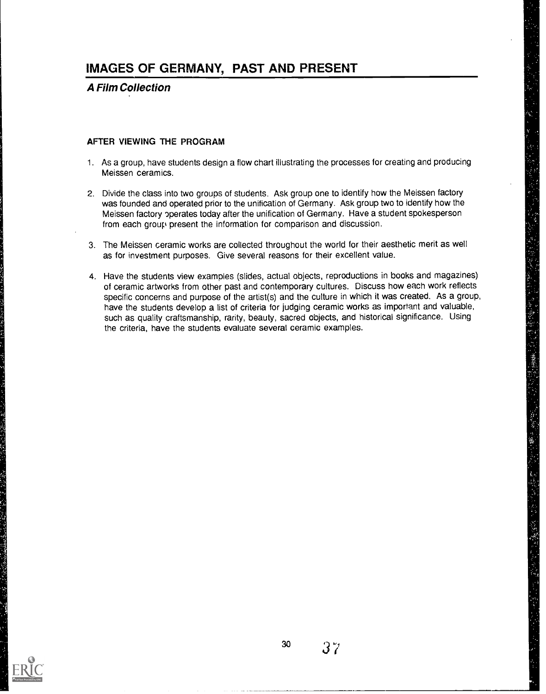### A Film Collection

#### AFTER VIEWING THE PROGRAM

- 1. As a group, have students design a flow chart illustrating the processes for creating and producing Meissen ceramics.
- 2. Divide the class into two groups of students. Ask group one to identify how the Meissen factory was founded and operated prior to the unification of Germany. Ask group two to identify how the Meissen factory operates today after the unification of Germany. Have a student spokesperson from each group present the information for comparison and discussion.
- 3. The Meissen ceramic works are collected throughout the world for their aesthetic merit as well as for investment purposes. Give several reasons for their excellent value.
- 4. Have the students view examples (slides, actual objects, reproductions in books and magazines) of ceramic artworks from other past and contemporary cultures. Discuss how each work reflects specific concerns and purpose of the artist(s) and the culture in which it was created. As a group, have the students develop a list of criteria for judging ceramic works as important and valuable, such as quality craftsmanship, rarity, beauty, sacred objects, and historical significance. Using the criteria, have the students evaluate several ceramic examples.

![](_page_36_Picture_7.jpeg)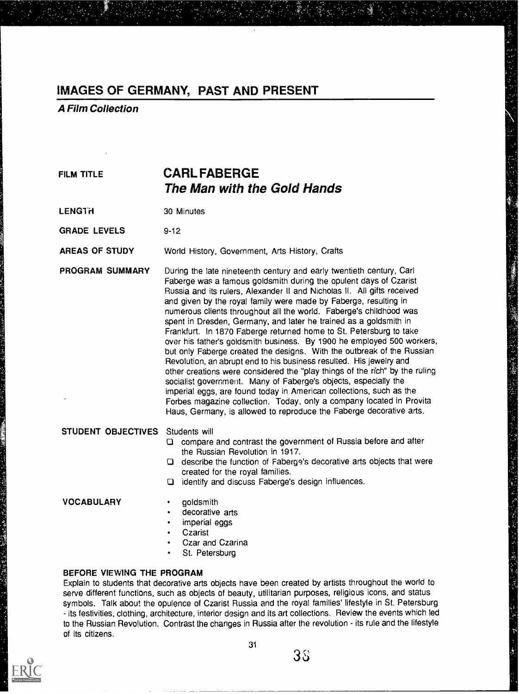A Film Collection

### FILM TITLE **CARL FABERGE** The Man with the Gold Hands

LENGTH 30 Minutes

GRADE LEVELS 9-12

AREAS OF STUDY World History, Government, Arts History, Crafts

PROGRAM SUMMARY During the late nineteenth century and early twentieth century, Carl Faberge was a famous goldsmith during the opulent days of Czarist Russia and its rulers, Alexander II and Nicholas II. All gifts received and given by the royal family were made by Faberge, resulting in numerous clients throughout all the world. Faberge's childhood was spent in Dresden, Germany, and later he trained as a goldsmith in Frankfurt. In 1870 Faberge returned home to St. Petersburg to take over his father's goldsmith business. By 1900 he employed 500 workers, but only Faberge created the designs. With the outbreak of the Russian Revolution, an abrupt end to his business resulted. His jewelry and other creations were considered the "play things of the rich" by the ruling socialist government. Many of Faberge's objects, especially the imperial eggs, are found today in American collections, such as the Forbes magazine collection. Today, only a company located in Provita Haus, Germany, is allowed to reproduce the Faberge decorative arts.

STUDENT OBJECTIVES Students will

compare and contrast the government of Russia before and after the Russian Revolution in 1917.

Y

- describe the function of Faberge's decorative arts objects that were created for the royal families.
- identify and discuss Faberge's design influences.

VOCABULARY · goldsmith

- 
- decorative arts
- imperial eggs
- **Czarist**
- Czar and Czarina
- St. Petersburg

### BEFORE VIEWING THE PROGRAM

Explain to students that decorative arts objects have been created by artists throughout the world to serve different functions, such as objects of beauty, utilitarian purposes, religious icons, and status symbols. Talk about the opulence of Czarist Russia and the royal families' lifestyle in St. Petersburg - its festivities, clothing, architecture, interior design and its art collections. Review the events which led to the Russian Revolution. Contrast the changes in Russia after the revolution - its rule and the lifestyle of its citizens.

![](_page_37_Picture_20.jpeg)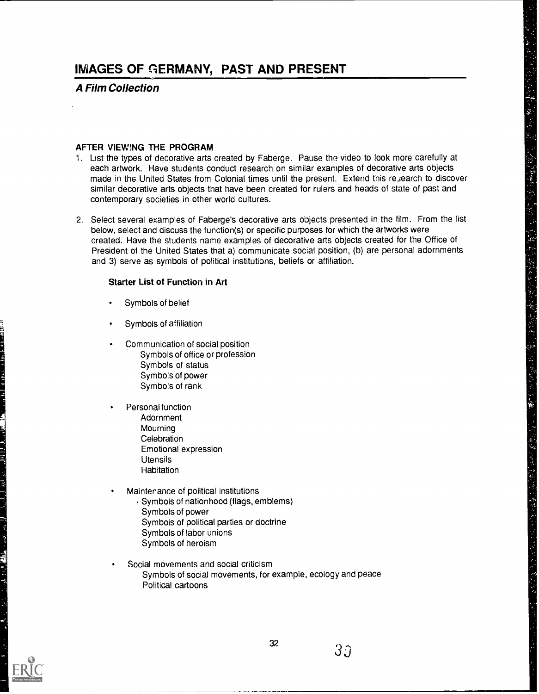### A Film Collection

#### AFTER VIEWING THE PROGRAM

1. List the types of decorative arts created by Faberge. Pause the video to look more carefully at each artwork. Have students conduct research on similar examples of decorative arts objects made in the United States from Colonial times until the present. Extend this research to discover similar decorative arts objects that have been created for rulers and heads of state of past and contemporary societies in other world cultures.

2. Select several examples of Faberge's decorative arts objects presented in the film. From the list below, select and discuss the function(s) or specific purposes for which the artworks were created. Have the students name examples of decorative arts objects created for the Office of President of the United States that a) communicate social position, (b) are personal adornments and 3) serve as symbols of political institutions, beliefs or affiliation.

#### Starter List of Function in Art

- Symbols of belief
- Symbols of affiliation
- Communication of social position Symbols of office or profession Symbols of status Symbols of power Symbols of rank
- Personal function Adornment **Mourning Celebration** Emotional expression **Utensils Habitation**
- Maintenance of political institutions
	- Symbols of nationhood (flags, emblems) Symbols of power Symbols of political parties or doctrine Symbols of labor unions Symbols of heroism
- Social movements and social criticism Symbols of social movements, for example, ecology and peace Political cartoons

![](_page_38_Picture_13.jpeg)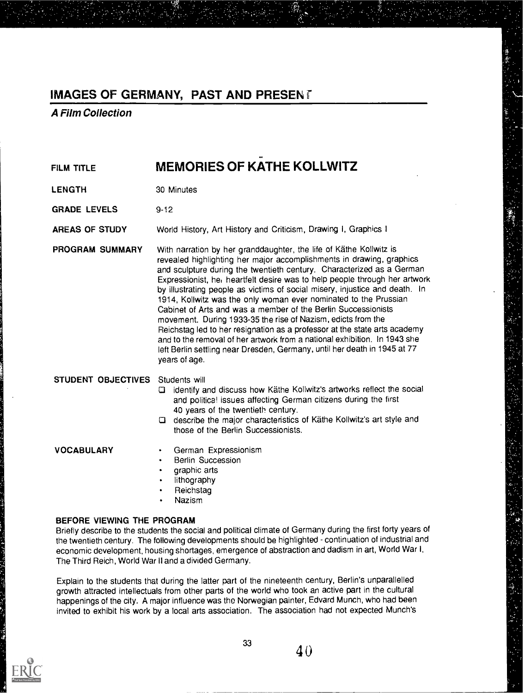A Film Collection

FILM TITLE **MEMORIES OF KATHE KOLLWITZ** 

LENGTH 30 Minutes

GRADE LEVELS 9-12

AREAS OF STUDY World History, Art History and Criticism, Drawing I, Graphics I

PROGRAM SUMMARY With narration by her granddaughter, the life of Kathe Kollwitz is revealed highlighting her major accomplishments in drawing, graphics and sculpture during the twentieth century. Characterized as a German Expressionist, he, heartfelt desire was to help people through her artwork by illustrating people as victims of social misery, injustice and death. In 1914, Kollwitz was the only woman ever nominated to the Prussian Cabinet of Arts and was a member of the Berlin Successionists movement. During 1933-35 the rise of Nazism, edicts from the Reichstag led to her resignation as a professor at the state arts academy and to the removal of her artwork from a national exhibition. In 1943 she left Berlin settling near Dresden, Germany, until her death in 1945 at 77 years of age.

#### STUDENT OBJECTIVES Students will

- identify and discuss how Kathe Kollwitz's artworks reflect the social and politica! issues affecting German citizens during the first 40 years of the twentieth century.
- describe the major characteristics of Kathe Kollwitz's art style and those of the Berlin Successionists.

- VOCABULARY German Expressionism
	- Berlin Succession
	- graphic arts
	- lithography
	- Reichstag
	- Nazism

#### BEFORE VIEWING THE PROGRAM

Briefly describe to the students the social and political climate of Germany during the first forty years of the twentieth century. The following developments should be highlighted - continuation of industrial and economic development, housing shortages, emergence of abstraction and dadism in art, World War I, The Third Reich, World War II and a divided Germany.

Explain to the students that during the latter part of the nineteenth century, Berlin's unparallelled growth attracted intellectuals from other parts of the world who took an active part in the cultural happenings of the city. A major influence was the Norwegian painter, Edvard Munch, who had been invited to exhibit his work by a local arts association. The association had not expected Munch's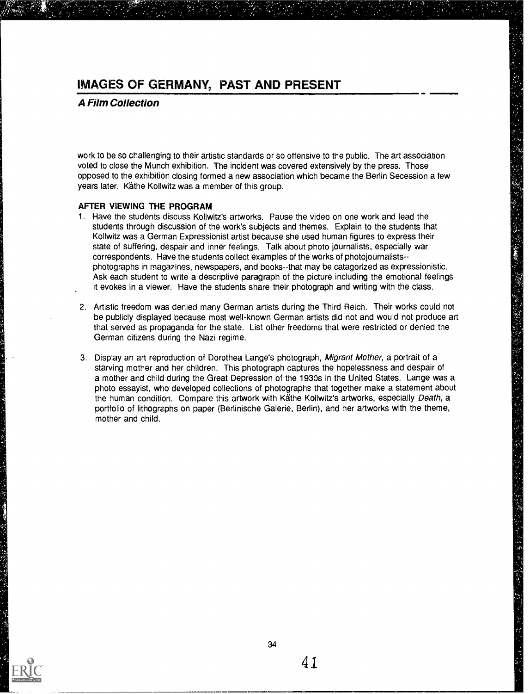### A Film Collection

work to be so challenging to their artistic standards or so offensive to the public. The art association voted to close the Munch exhibition. The incident was covered extensively by the press. Those opposed to the exhibition closing formed a new association which became the Berlin Secession a few years later. Käthe Kollwitz was a member of this group.

#### AFTER VIEWING THE PROGRAM

- 1. Have the students discuss Kollwitz's artworks. Pause the video on one work and lead the students through discussion of the work's subjects and themes. Explain to the students that Kollwitz was a German Expressionist artist because she used human figures to express their state of suffering, despair and inner feelings. Talk about photo journalists, especially war correspondents. Have the students collect examples of the works of photojournalists photographs in magazines, newspapers, and books--that may be catagorized as expressionistic. Ask each student to write a descriptive paragraph of the picture including the emotional feelings it evokes in a viewer. Have the students share their photograph and writing with the class.
- 2. Artistic freedom was denied many German artists during the Third Reich. Their works could not be publicly displayed because most well-known German artists did not and would not produce art that served as propaganda for the state. List other freedoms that were restricted or denied the German citizens during the Nazi regime.
- 3. Display an art reproduction of Dorothea Lange's photograph, Migrant Mother, a portrait of a starving mother and her children. This photograph captures the hopelessness and despair of 'a mother and child during the Great Depression of the 1930s in the United States. Lange was a photo essayist, who developed collections of photographs that together make a statement about the human condition. Compare this artwork with Kathe Kollwitz's artworks, especially Death, a portfolio of lithographs on paper (Berlinische Galerie, Berlin), and her artworks with the theme, mother and child.

![](_page_40_Picture_7.jpeg)